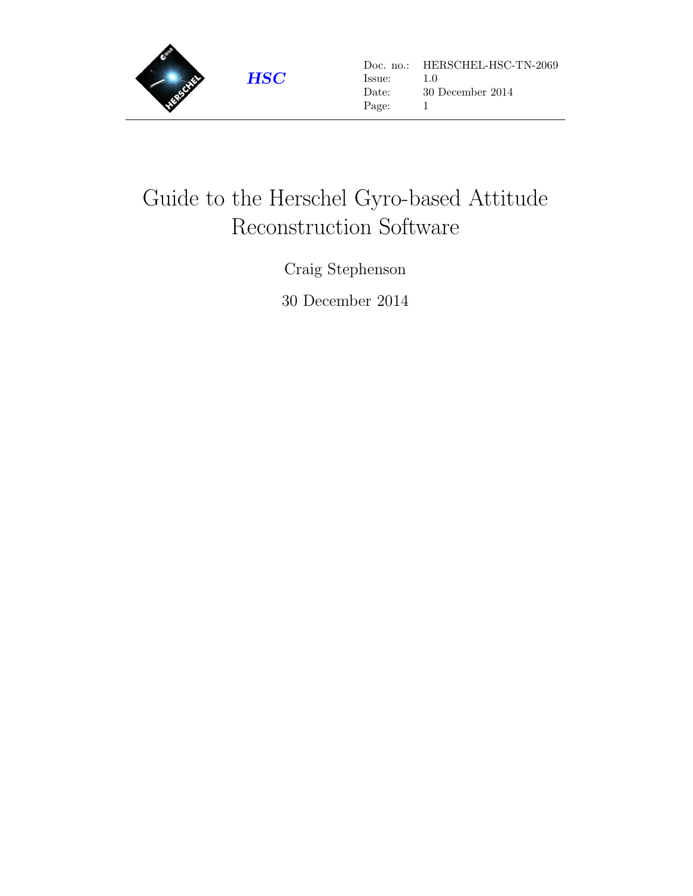

# Guide to the Herschel Gyro-based Attitude Reconstruction Software

Craig Stephenson

30 December 2014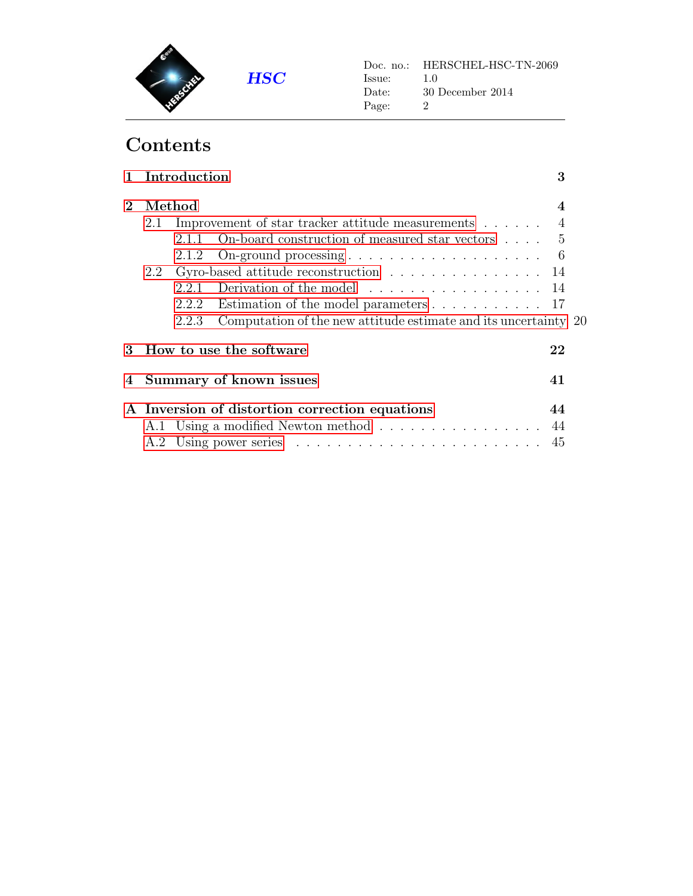

## Contents

|             | 1 Introduction<br>3                                        |                                                                            |     |  |  |
|-------------|------------------------------------------------------------|----------------------------------------------------------------------------|-----|--|--|
| $2^{\circ}$ | Method<br>4                                                |                                                                            |     |  |  |
|             | Improvement of star tracker attitude measurements 4<br>2.1 |                                                                            |     |  |  |
|             |                                                            | On-board construction of measured star vectors $\dots$ 5<br>2.1.1          |     |  |  |
|             |                                                            | On-ground processing $\dots \dots \dots \dots \dots \dots \dots$<br>2.1.2  | - 6 |  |  |
|             | 2.2                                                        | Gyro-based attitude reconstruction $\ldots \ldots \ldots \ldots \ldots 14$ |     |  |  |
|             |                                                            | Derivation of the model<br>2.2.1                                           | 14  |  |  |
|             |                                                            | Estimation of the model parameters 17<br>2.2.2                             |     |  |  |
|             |                                                            | Computation of the new attitude estimate and its uncertainty 20<br>2.2.3   |     |  |  |
| 3           |                                                            | How to use the software                                                    | 22  |  |  |
| 4           |                                                            | Summary of known issues                                                    | 41  |  |  |
|             |                                                            | A Inversion of distortion correction equations                             | 44  |  |  |
|             |                                                            | A.1 Using a modified Newton method                                         | 44  |  |  |
|             | A.2                                                        |                                                                            | 45  |  |  |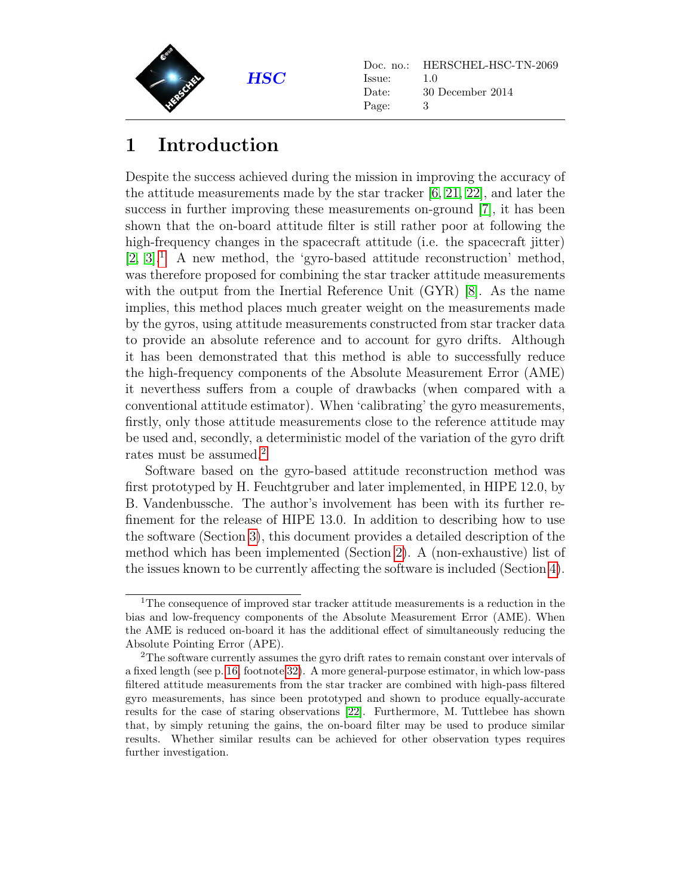

## <span id="page-2-0"></span>1 Introduction

Despite the success achieved during the mission in improving the accuracy of the attitude measurements made by the star tracker [\[6,](#page-46-0) [21,](#page-47-0) [22\]](#page-47-1), and later the success in further improving these measurements on-ground [\[7\]](#page-46-1), it has been shown that the on-board attitude filter is still rather poor at following the high-frequency changes in the spacecraft attitude (i.e. the spacecraft jitter)  $[2, 3]$  $[2, 3]$ .<sup>[1](#page-2-1)</sup> A new method, the 'gyro-based attitude reconstruction' method, was therefore proposed for combining the star tracker attitude measurements with the output from the Inertial Reference Unit (GYR) [\[8\]](#page-46-4). As the name implies, this method places much greater weight on the measurements made by the gyros, using attitude measurements constructed from star tracker data to provide an absolute reference and to account for gyro drifts. Although it has been demonstrated that this method is able to successfully reduce the high-frequency components of the Absolute Measurement Error (AME) it neverthess suffers from a couple of drawbacks (when compared with a conventional attitude estimator). When 'calibrating' the gyro measurements, firstly, only those attitude measurements close to the reference attitude may be used and, secondly, a deterministic model of the variation of the gyro drift rates must be assumed.<sup>[2](#page-2-2)</sup>

Software based on the gyro-based attitude reconstruction method was first prototyped by H. Feuchtgruber and later implemented, in HIPE 12.0, by B. Vandenbussche. The author's involvement has been with its further refinement for the release of HIPE 13.0. In addition to describing how to use the software (Section [3\)](#page-21-0), this document provides a detailed description of the method which has been implemented (Section [2\)](#page-3-0). A (non-exhaustive) list of the issues known to be currently affecting the software is included (Section [4\)](#page-40-0).

<span id="page-2-1"></span><sup>&</sup>lt;sup>1</sup>The consequence of improved star tracker attitude measurements is a reduction in the bias and low-frequency components of the Absolute Measurement Error (AME). When the AME is reduced on-board it has the additional effect of simultaneously reducing the Absolute Pointing Error (APE).

<span id="page-2-2"></span><sup>&</sup>lt;sup>2</sup>The software currently assumes the gyro drift rates to remain constant over intervals of a fixed length (see p. [16,](#page-15-0) footnote [32\)](#page-15-0). A more general-purpose estimator, in which low-pass filtered attitude measurements from the star tracker are combined with high-pass filtered gyro measurements, has since been prototyped and shown to produce equally-accurate results for the case of staring observations [\[22\]](#page-47-1). Furthermore, M. Tuttlebee has shown that, by simply retuning the gains, the on-board filter may be used to produce similar results. Whether similar results can be achieved for other observation types requires further investigation.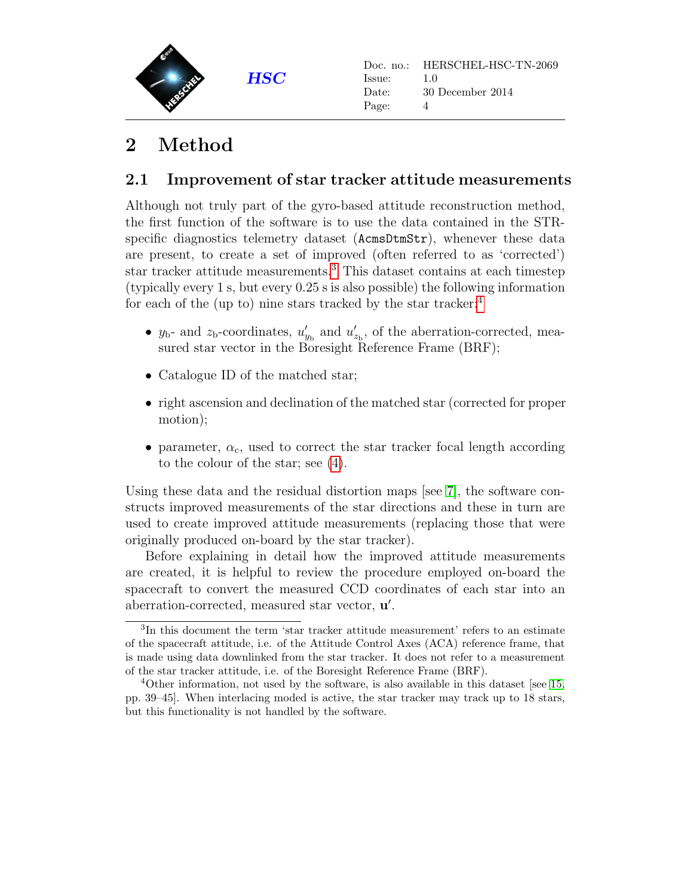

## <span id="page-3-0"></span>2 Method

### <span id="page-3-1"></span>2.1 Improvement of star tracker attitude measurements

Although not truly part of the gyro-based attitude reconstruction method, the first function of the software is to use the data contained in the STRspecific diagnostics telemetry dataset (AcmsDtmStr), whenever these data are present, to create a set of improved (often referred to as 'corrected') star tracker attitude measurements.[3](#page-3-2) This dataset contains at each timestep (typically every 1 s, but every 0.25 s is also possible) the following information for each of the (up to) nine stars tracked by the star tracker:[4](#page-3-3)

- $y_{b}$  and  $z_{b}$ -coordinates,  $u'_{y_{b}}$  and  $u'_{z_{b}}$ , of the aberration-corrected, measured star vector in the Boresight Reference Frame (BRF);
- Catalogue ID of the matched star;
- right ascension and declination of the matched star (corrected for proper motion);
- parameter,  $\alpha_c$ , used to correct the star tracker focal length according to the colour of the star; see [\(4\)](#page-5-1).

Using these data and the residual distortion maps [see [7\]](#page-46-1), the software constructs improved measurements of the star directions and these in turn are used to create improved attitude measurements (replacing those that were originally produced on-board by the star tracker).

Before explaining in detail how the improved attitude measurements are created, it is helpful to review the procedure employed on-board the spacecraft to convert the measured CCD coordinates of each star into an aberration-corrected, measured star vector,  $\mathbf{u}'$ .

<span id="page-3-2"></span><sup>3</sup> In this document the term 'star tracker attitude measurement' refers to an estimate of the spacecraft attitude, i.e. of the Attitude Control Axes (ACA) reference frame, that is made using data downlinked from the star tracker. It does not refer to a measurement of the star tracker attitude, i.e. of the Boresight Reference Frame (BRF).

<span id="page-3-3"></span> $4$ Other information, not used by the software, is also available in this dataset [see [15,](#page-47-2) pp. 39–45]. When interlacing moded is active, the star tracker may track up to 18 stars, but this functionality is not handled by the software.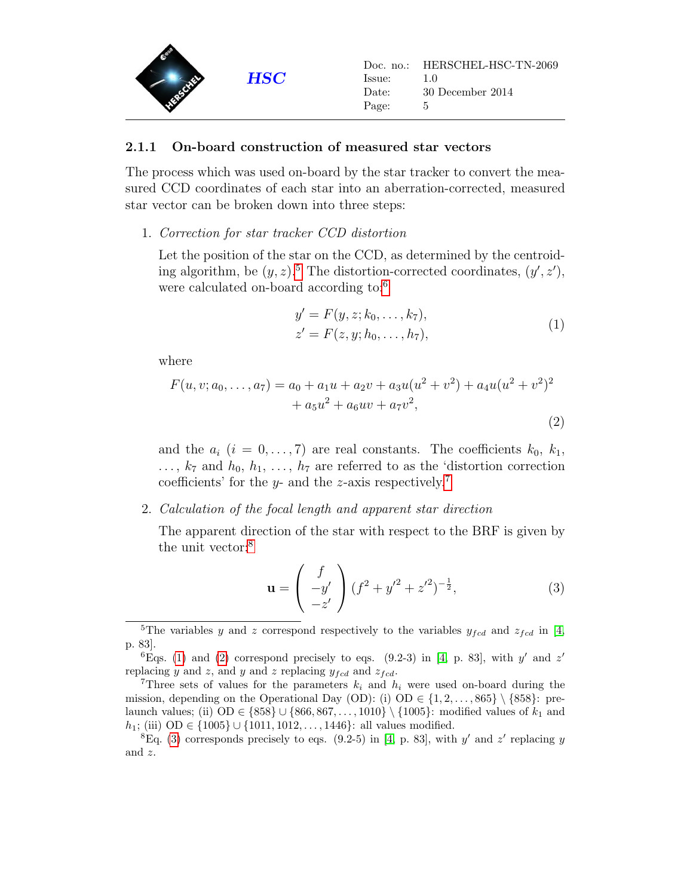

#### <span id="page-4-0"></span>2.1.1 On-board construction of measured star vectors

The process which was used on-board by the star tracker to convert the measured CCD coordinates of each star into an aberration-corrected, measured star vector can be broken down into three steps:

1. Correction for star tracker CCD distortion

Let the position of the star on the CCD, as determined by the centroiding algorithm, be  $(y, z)$ .<sup>[5](#page-4-1)</sup> The distortion-corrected coordinates,  $(y', z')$ , were calculated on-board according to:[6](#page-4-2)

$$
y' = F(y, z; k_0, \dots, k_7),
$$
  
\n
$$
z' = F(z, y; h_0, \dots, h_7),
$$
\n(1)

<span id="page-4-5"></span>where

<span id="page-4-6"></span>
$$
F(u, v; a_0, \dots, a_7) = a_0 + a_1 u + a_2 v + a_3 u (u^2 + v^2) + a_4 u (u^2 + v^2)^2
$$
  
+  $a_5 u^2 + a_6 u v + a_7 v^2,$  (2)

and the  $a_i$   $(i = 0, \ldots, 7)$  are real constants. The coefficients  $k_0, k_1,$  $\ldots, k_7$  and  $h_0, h_1, \ldots, h_7$  are referred to as the 'distortion correction coefficients' for the y- and the z-axis respectively.<sup>[7](#page-4-3)</sup>

#### 2. Calculation of the focal length and apparent star direction

The apparent direction of the star with respect to the BRF is given by the unit vector:<sup>[8](#page-4-4)</sup>

<span id="page-4-7"></span>
$$
\mathbf{u} = \begin{pmatrix} f \\ -y' \\ -z' \end{pmatrix} (f^2 + y'^2 + z'^2)^{-\frac{1}{2}}, \tag{3}
$$

<span id="page-4-1"></span><sup>&</sup>lt;sup>5</sup>The variables y and z correspond respectively to the variables  $y_{fcd}$  and  $z_{fcd}$  in [\[4,](#page-46-5) p. 83].

<span id="page-4-2"></span><sup>&</sup>lt;sup>6</sup>Eqs. [\(1\)](#page-4-5) and [\(2\)](#page-4-6) correspond precisely to eqs. (9.2-3) in [\[4,](#page-46-5) p. 83], with y' and z' replacing y and z, and y and z replacing  $y_{f c d}$  and  $z_{f c d}$ .

<span id="page-4-3"></span><sup>&</sup>lt;sup>7</sup>Three sets of values for the parameters  $k_i$  and  $h_i$  were used on-board during the mission, depending on the Operational Day (OD): (i) OD  $\in \{1, 2, \ldots, 865\} \setminus \{858\}$ : prelaunch values; (ii) OD ∈ {858} ∪ {866, 867, ..., 1010} \ {1005}: modified values of  $k_1$  and  $h_1$ ; (iii) OD ∈ {1005} ∪ {1011, 1012, ..., 1446}: all values modified.

<span id="page-4-4"></span><sup>&</sup>lt;sup>8</sup>Eq. [\(3\)](#page-4-7) corresponds precisely to eqs. (9.2-5) in [\[4,](#page-46-5) p. 83], with y' and z' replacing y and z.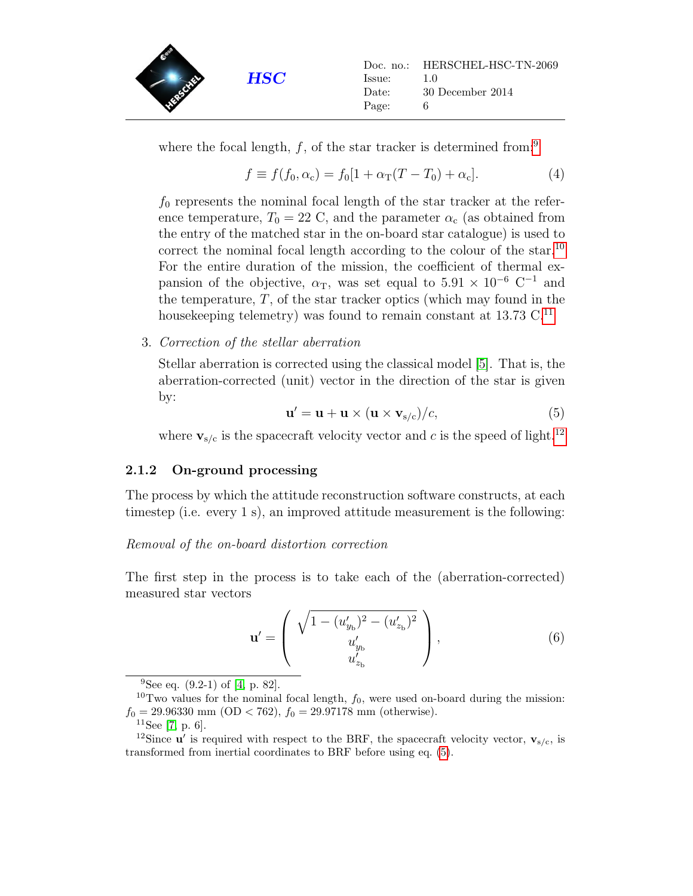

where the focal length,  $f$ , of the star tracker is determined from:<sup>[9](#page-5-2)</sup>

<span id="page-5-1"></span>
$$
f \equiv f(f_0, \alpha_c) = f_0[1 + \alpha_T(T - T_0) + \alpha_c].
$$
 (4)

 $f_0$  represents the nominal focal length of the star tracker at the reference temperature,  $T_0 = 22$  C, and the parameter  $\alpha_c$  (as obtained from the entry of the matched star in the on-board star catalogue) is used to correct the nominal focal length according to the colour of the star.<sup>[10](#page-5-3)</sup> For the entire duration of the mission, the coefficient of thermal expansion of the objective,  $\alpha_{\rm T}$ , was set equal to  $5.91 \times 10^{-6}$  C<sup>-1</sup> and the temperature,  $T$ , of the star tracker optics (which may found in the housekeeping telemetry) was found to remain constant at  $13.73 \text{ C}^{11}$  $13.73 \text{ C}^{11}$  $13.73 \text{ C}^{11}$ 

3. Correction of the stellar aberration

Stellar aberration is corrected using the classical model [\[5\]](#page-46-6). That is, the aberration-corrected (unit) vector in the direction of the star is given by:

<span id="page-5-6"></span>
$$
\mathbf{u}' = \mathbf{u} + \mathbf{u} \times (\mathbf{u} \times \mathbf{v}_{\mathrm{s/c}})/c,
$$
 (5)

where  $\mathbf{v}_{s/c}$  is the spacecraft velocity vector and c is the speed of light.<sup>[12](#page-5-5)</sup>

#### <span id="page-5-0"></span>2.1.2 On-ground processing

The process by which the attitude reconstruction software constructs, at each timestep (i.e. every 1 s), an improved attitude measurement is the following:

#### Removal of the on-board distortion correction

The first step in the process is to take each of the (aberration-corrected) measured star vectors

<span id="page-5-7"></span>
$$
\mathbf{u}' = \left( \begin{array}{c} \sqrt{1 - (u'_{y_{\rm b}})^2 - (u'_{z_{\rm b}})^2} \\ u'_{y_{\rm b}} \\ u'_{z_{\rm b}} \end{array} \right), \tag{6}
$$

<span id="page-5-3"></span><span id="page-5-2"></span><sup>&</sup>lt;sup>9</sup>See eq.  $(9.2-1)$  of  $[4, p. 82]$  $[4, p. 82]$ .

<sup>&</sup>lt;sup>10</sup>Two values for the nominal focal length,  $f_0$ , were used on-board during the mission:  $f_0 = 29.96330$  mm (OD < 762),  $f_0 = 29.97178$  mm (otherwise).

<span id="page-5-5"></span><span id="page-5-4"></span> $11$ See [\[7,](#page-46-1) p. 6].

<sup>&</sup>lt;sup>12</sup>Since **u**' is required with respect to the BRF, the spacecraft velocity vector,  $\mathbf{v}_{s/c}$ , is transformed from inertial coordinates to BRF before using eq. [\(5\)](#page-5-6).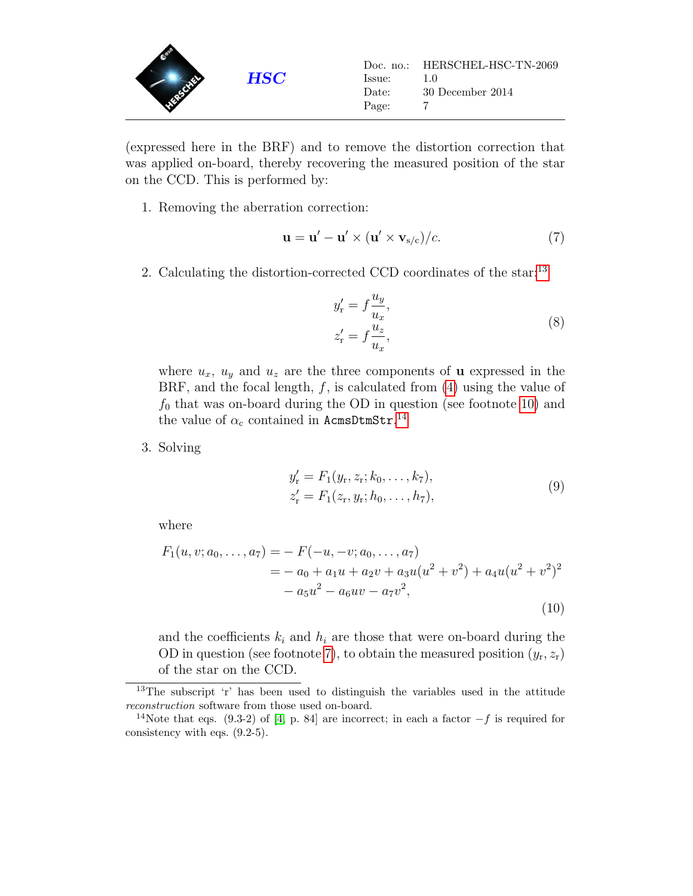

(expressed here in the BRF) and to remove the distortion correction that was applied on-board, thereby recovering the measured position of the star on the CCD. This is performed by:

1. Removing the aberration correction:

$$
\mathbf{u} = \mathbf{u}' - \mathbf{u}' \times (\mathbf{u}' \times \mathbf{v}_{s/c})/c.
$$
 (7)

<span id="page-6-3"></span>2. Calculating the distortion-corrected CCD coordinates of the star:<sup>[13](#page-6-0)</sup>

$$
y'_{\rm r} = f \frac{u_y}{u_x},
$$
  
\n
$$
z'_{\rm r} = f \frac{u_z}{u_x},
$$
\n(8)

where  $u_x$ ,  $u_y$  and  $u_z$  are the three components of **u** expressed in the BRF, and the focal length,  $f$ , is calculated from  $(4)$  using the value of  $f_0$  that was on-board during the OD in question (see footnote [10\)](#page-5-3) and the value of  $\alpha_c$  contained in AcmsDtmStr.<sup>[14](#page-6-1)</sup>

<span id="page-6-2"></span>3. Solving

$$
y'_{r} = F_{1}(y_{r}, z_{r}; k_{0}, \dots, k_{7}),
$$
  
\n
$$
z'_{r} = F_{1}(z_{r}, y_{r}; h_{0}, \dots, h_{7}),
$$
\n(9)

where

<span id="page-6-4"></span>
$$
F_1(u, v; a_0, \dots, a_7) = -F(-u, -v; a_0, \dots, a_7)
$$
  
= -a\_0 + a\_1u + a\_2v + a\_3u(u<sup>2</sup> + v<sup>2</sup>) + a\_4u(u<sup>2</sup> + v<sup>2</sup>)<sup>2</sup>  
- a\_5u<sup>2</sup> - a\_6uv - a\_7v<sup>2</sup>, (10)

and the coefficients  $k_i$  and  $h_i$  are those that were on-board during the OD in question (see footnote [7\)](#page-4-3), to obtain the measured position  $(y_r, z_r)$ of the star on the CCD.

<span id="page-6-0"></span><sup>13</sup>The subscript 'r' has been used to distinguish the variables used in the attitude reconstruction software from those used on-board.

<span id="page-6-1"></span><sup>&</sup>lt;sup>14</sup>Note that eqs. (9.3-2) of [\[4,](#page-46-5) p. 84] are incorrect; in each a factor  $-f$  is required for consistency with eqs. (9.2-5).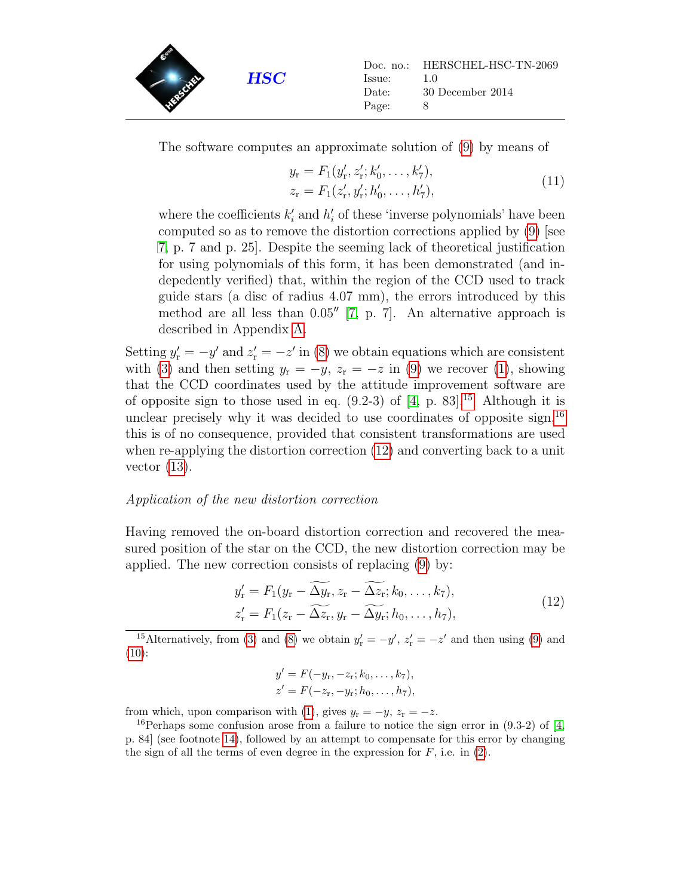

The software computes an approximate solution of [\(9\)](#page-6-2) by means of

$$
y_{\rm r} = F_1(y'_{\rm r}, z'_{\rm r}; k'_0, \dots, k'_7),
$$
  
\n
$$
z_{\rm r} = F_1(z'_{\rm r}, y'_{\rm r}; h'_0, \dots, h'_7),
$$
\n(11)

where the coefficients  $k'_i$  and  $h'_i$  of these 'inverse polynomials' have been computed so as to remove the distortion corrections applied by [\(9\)](#page-6-2) [see [7,](#page-46-1) p. 7 and p. 25]. Despite the seeming lack of theoretical justification for using polynomials of this form, it has been demonstrated (and indepedently verified) that, within the region of the CCD used to track guide stars (a disc of radius 4.07 mm), the errors introduced by this method are all less than  $0.05''$  [\[7,](#page-46-1) p. 7]. An alternative approach is described in Appendix [A.](#page-43-0)

Setting  $y'_r = -y'$  and  $z'_r = -z'$  in [\(8\)](#page-6-3) we obtain equations which are consistent with [\(3\)](#page-4-7) and then setting  $y_r = -y$ ,  $z_r = -z$  in [\(9\)](#page-6-2) we recover [\(1\)](#page-4-5), showing that the CCD coordinates used by the attitude improvement software are of opposite sign to those used in eq.  $(9.2-3)$  of  $[4, p. 83]$  $[4, p. 83]$ .<sup>[15](#page-7-0)</sup> Although it is unclear precisely why it was decided to use coordinates of opposite sign,  $^{16}$  $^{16}$  $^{16}$ this is of no consequence, provided that consistent transformations are used when re-applying the distortion correction [\(12\)](#page-7-2) and converting back to a unit vector  $(13)$ .

#### Application of the new distortion correction

Having removed the on-board distortion correction and recovered the measured position of the star on the CCD, the new distortion correction may be applied. The new correction consists of replacing [\(9\)](#page-6-2) by:

$$
y'_{r} = F_1(y_r - \widetilde{\Delta y_r}, z_r - \widetilde{\Delta z_r}; k_0, \dots, k_7),
$$
  
\n
$$
z'_{r} = F_1(z_r - \widetilde{\Delta z_r}, y_r - \widetilde{\Delta y_r}; h_0, \dots, h_7),
$$
\n(12)

<span id="page-7-2"></span><span id="page-7-0"></span><sup>15</sup>Alternatively, from [\(3\)](#page-4-7) and [\(8\)](#page-6-3) we obtain  $y'_{r} = -y'$ ,  $z'_{r} = -z'$  and then using [\(9\)](#page-6-2) and [\(10\)](#page-6-4):

$$
y' = F(-y_r, -z_r; k_0, \dots, k_7),
$$
  

$$
z' = F(-z_r, -y_r; h_0, \dots, h_7),
$$

from which, upon comparison with [\(1\)](#page-4-5), gives  $y_r = -y$ ,  $z_r = -z$ .

<span id="page-7-1"></span><sup>16</sup>Perhaps some confusion arose from a failure to notice the sign error in  $(9.3-2)$  of [\[4,](#page-46-5) p. 84] (see footnote [14\)](#page-6-1), followed by an attempt to compensate for this error by changing the sign of all the terms of even degree in the expression for  $F$ , i.e. in  $(2)$ .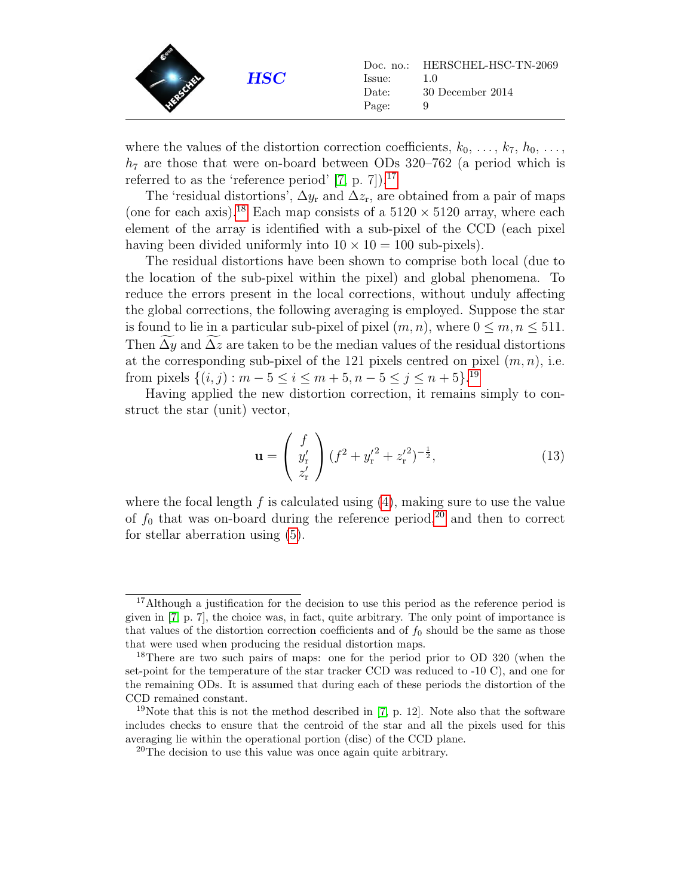

where the values of the distortion correction coefficients,  $k_0, \ldots, k_7, h_0, \ldots$ ,  $h_7$  are those that were on-board between ODs 320–762 (a period which is referred to as the 'reference period'  $[7, p. 7]$  $[7, p. 7]$ ).<sup>[17](#page-8-1)</sup>

The 'residual distortions',  $\Delta y_r$  and  $\Delta z_r$ , are obtained from a pair of maps (one for each axis).<sup>[18](#page-8-2)</sup> Each map consists of a  $5120 \times 5120$  array, where each element of the array is identified with a sub-pixel of the CCD (each pixel having been divided uniformly into  $10 \times 10 = 100$  sub-pixels).

The residual distortions have been shown to comprise both local (due to the location of the sub-pixel within the pixel) and global phenomena. To reduce the errors present in the local corrections, without unduly affecting the global corrections, the following averaging is employed. Suppose the star is found to lie in a particular sub-pixel of pixel  $(m, n)$ , where  $0 \le m, n \le 511$ . Then  $\widetilde{\Delta y}$  and  $\widetilde{\Delta z}$  are taken to be the median values of the residual distortions at the corresponding sub-pixel of the 121 pixels centred on pixel  $(m, n)$ , i.e. from pixels  $\{(i, j) : m - 5 \le i \le m + 5, n - 5 \le j \le n + 5\}.$ <sup>[19](#page-8-3)</sup>

Having applied the new distortion correction, it remains simply to construct the star (unit) vector,

<span id="page-8-0"></span>
$$
\mathbf{u} = \begin{pmatrix} f \\ y'_{r} \\ z'_{r} \end{pmatrix} (f^{2} + y'^{2}_{r} + z'^{2}_{r})^{-\frac{1}{2}}, \qquad (13)
$$

where the focal length  $f$  is calculated using  $(4)$ , making sure to use the value of  $f_0$  that was on-board during the reference period,<sup>[20](#page-8-4)</sup> and then to correct for stellar aberration using [\(5\)](#page-5-6).

<span id="page-8-1"></span><sup>&</sup>lt;sup>17</sup>Although a justification for the decision to use this period as the reference period is given in [\[7,](#page-46-1) p. 7], the choice was, in fact, quite arbitrary. The only point of importance is that values of the distortion correction coefficients and of  $f_0$  should be the same as those that were used when producing the residual distortion maps.

<span id="page-8-2"></span><sup>&</sup>lt;sup>18</sup>There are two such pairs of maps: one for the period prior to OD 320 (when the set-point for the temperature of the star tracker CCD was reduced to -10 C), and one for the remaining ODs. It is assumed that during each of these periods the distortion of the CCD remained constant.

<span id="page-8-3"></span><sup>&</sup>lt;sup>19</sup>Note that this is not the method described in [\[7,](#page-46-1) p. 12]. Note also that the software includes checks to ensure that the centroid of the star and all the pixels used for this averaging lie within the operational portion (disc) of the CCD plane.

<span id="page-8-4"></span> $20$ The decision to use this value was once again quite arbitrary.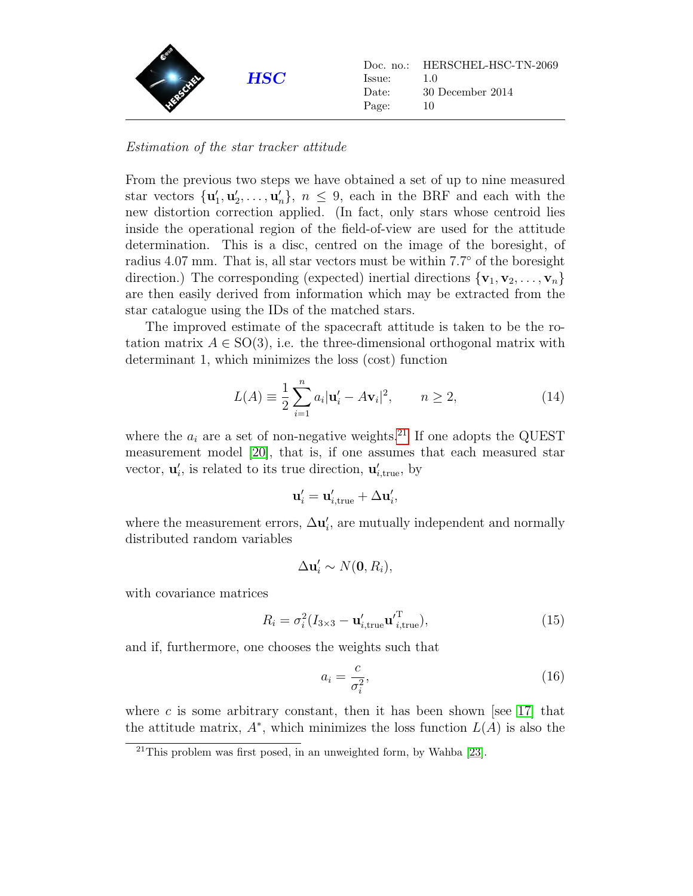

Estimation of the star tracker attitude

From the previous two steps we have obtained a set of up to nine measured star vectors  $\{\mathbf u'_1, \mathbf u'_2, \ldots, \mathbf u'_n\}, n \leq 9$ , each in the BRF and each with the new distortion correction applied. (In fact, only stars whose centroid lies inside the operational region of the field-of-view are used for the attitude determination. This is a disc, centred on the image of the boresight, of radius 4.07 mm. That is, all star vectors must be within 7.7◦ of the boresight direction.) The corresponding (expected) inertial directions  $\{v_1, v_2, \ldots, v_n\}$ are then easily derived from information which may be extracted from the star catalogue using the IDs of the matched stars.

The improved estimate of the spacecraft attitude is taken to be the rotation matrix  $A \in SO(3)$ , i.e. the three-dimensional orthogonal matrix with determinant 1, which minimizes the loss (cost) function

$$
L(A) \equiv \frac{1}{2} \sum_{i=1}^{n} a_i |\mathbf{u}'_i - A\mathbf{v}_i|^2, \qquad n \ge 2,
$$
 (14)

where the  $a_i$  are a set of non-negative weights.<sup>[21](#page-9-0)</sup> If one adopts the QUEST measurement model [\[20\]](#page-47-3), that is, if one assumes that each measured star vector,  $\mathbf{u}'_i$ , is related to its true direction,  $\mathbf{u}'_{i,\text{true}}$ , by

$$
\mathbf{u}_i' = \mathbf{u}_{i,\mathrm{true}}' + \Delta \mathbf{u}_i',
$$

where the measurement errors,  $\Delta \mathbf{u}'_i$ , are mutually independent and normally distributed random variables

$$
\Delta \mathbf{u}'_i \sim N(\mathbf{0}, R_i),
$$

with covariance matrices

<span id="page-9-1"></span>
$$
R_i = \sigma_i^2 (I_{3 \times 3} - \mathbf{u}'_{i,\text{true}} \mathbf{u}'^{\mathrm{T}}_{i,\text{true}}),
$$
 (15)

and if, furthermore, one chooses the weights such that

<span id="page-9-2"></span>
$$
a_i = \frac{c}{\sigma_i^2},\tag{16}
$$

where c is some arbitrary constant, then it has been shown [see  $17$ ] that the attitude matrix,  $A^*$ , which minimizes the loss function  $L(A)$  is also the

<span id="page-9-0"></span> $21$ This problem was first posed, in an unweighted form, by Wahba [\[23\]](#page-47-5).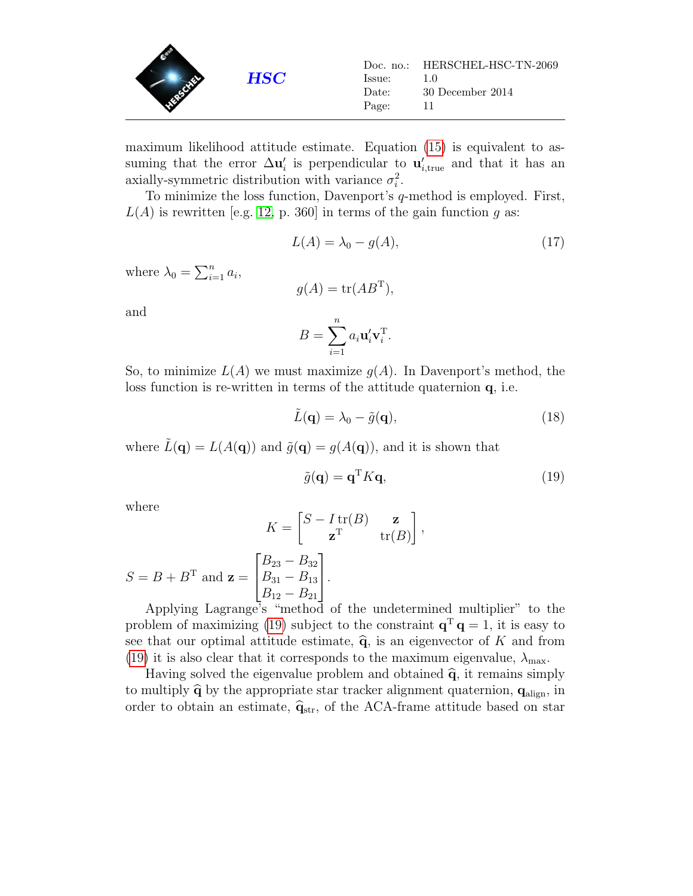

maximum likelihood attitude estimate. Equation [\(15\)](#page-9-1) is equivalent to assuming that the error  $\Delta u_i'$  is perpendicular to  $u'_{i,\text{true}}$  and that it has an axially-symmetric distribution with variance  $\sigma_i^2$ .

To minimize the loss function, Davenport's q-method is employed. First,  $L(A)$  is rewritten [e.g. [12,](#page-46-7) p. 360] in terms of the gain function q as:

$$
L(A) = \lambda_0 - g(A),\tag{17}
$$

where  $\lambda_0 = \sum_{i=1}^n a_i$ ,

$$
g(A) = \text{tr}(AB^{\text{T}}),
$$
  
<sub>n</sub>

and

$$
B = \sum_{i=1}^{n} a_i \mathbf{u}_i' \mathbf{v}_i^{\mathrm{T}}.
$$

So, to minimize  $L(A)$  we must maximize  $q(A)$ . In Davenport's method, the loss function is re-written in terms of the attitude quaternion q, i.e.

$$
\tilde{L}(\mathbf{q}) = \lambda_0 - \tilde{g}(\mathbf{q}),\tag{18}
$$

where  $\tilde{L}(\mathbf{q}) = L(A(\mathbf{q}))$  and  $\tilde{g}(\mathbf{q}) = g(A(\mathbf{q})),$  and it is shown that

<span id="page-10-0"></span>
$$
\tilde{g}(\mathbf{q}) = \mathbf{q}^{\mathrm{T}} K \mathbf{q},\tag{19}
$$

,

where

 $S = B + B<sup>T</sup>$  and  $z =$ 

$$
K = \begin{bmatrix} S - I \operatorname{tr}(B) & \mathbf{z} \\ \mathbf{z}^{\mathrm{T}} & \operatorname{tr}(B) \end{bmatrix}
$$

$$
\begin{bmatrix} B_{23} - B_{32} \\ B_{31} - B_{13} \\ B_{12} - B_{21} \end{bmatrix}.
$$

Applying Lagrange's "method of the undetermined multiplier" to the problem of maximizing [\(19\)](#page-10-0) subject to the constraint  $\mathbf{q}^T \mathbf{q} = 1$ , it is easy to see that our optimal attitude estimate,  $\hat{q}$ , is an eigenvector of K and from [\(19\)](#page-10-0) it is also clear that it corresponds to the maximum eigenvalue,  $\lambda_{\text{max}}$ .

Having solved the eigenvalue problem and obtained  $\hat{q}$ , it remains simply to multiply  $\hat{q}$  by the appropriate star tracker alignment quaternion,  $q_{\text{align}}$ , in order to obtain an estimate,  $\hat{\mathbf{q}}_{str}$ , of the ACA-frame attitude based on star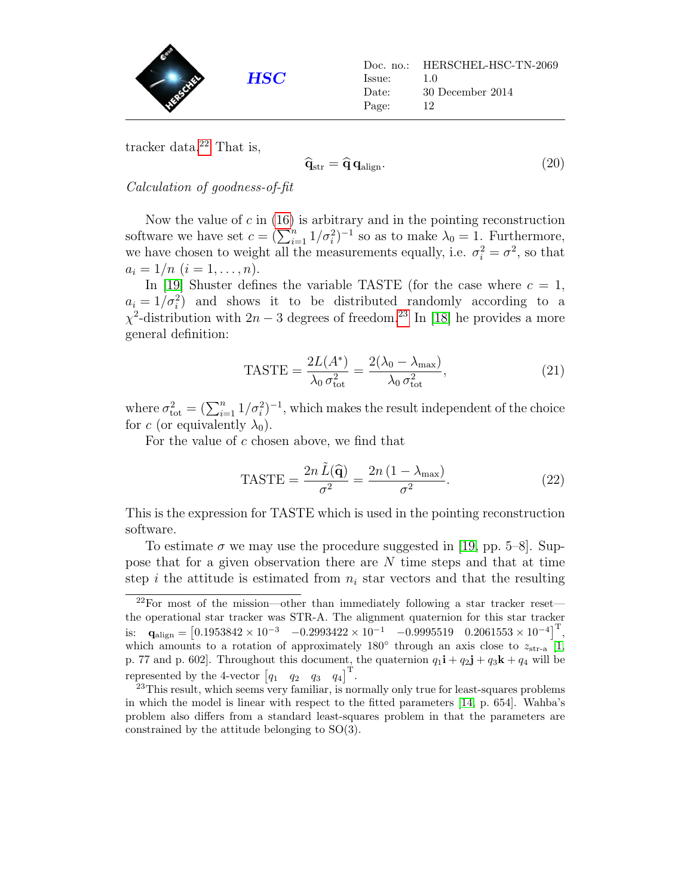

tracker data. $22$  That is,

$$
\hat{\mathbf{q}}_{\rm str} = \hat{\mathbf{q}} \, \mathbf{q}_{\rm align}. \tag{20}
$$

Calculation of goodness-of-fit

Now the value of  $c$  in [\(16\)](#page-9-2) is arbitrary and in the pointing reconstruction software we have set  $c = (\sum_{i=1}^{n} 1/\sigma_i^2)^{-1}$  so as to make  $\lambda_0 = 1$ . Furthermore, we have chosen to weight all the measurements equally, i.e.  $\sigma_i^2 = \sigma^2$ , so that  $a_i = 1/n$   $(i = 1, \ldots, n)$ .

In [\[19\]](#page-47-6) Shuster defines the variable TASTE (for the case where  $c = 1$ ,  $a_i = 1/\sigma_i^2$  and shows it to be distributed randomly according to a  $\chi^2$ -distribution with 2n – 3 degrees of freedom.<sup>[23](#page-11-1)</sup> In [\[18\]](#page-47-7) he provides a more general definition:

$$
\text{TASTE} = \frac{2L(A^*)}{\lambda_0 \sigma_{\text{tot}}^2} = \frac{2(\lambda_0 - \lambda_{\text{max}})}{\lambda_0 \sigma_{\text{tot}}^2},\tag{21}
$$

where  $\sigma_{\text{tot}}^2 = (\sum_{i=1}^n 1/\sigma_i^2)^{-1}$ , which makes the result independent of the choice for c (or equivalently  $\lambda_0$ ).

For the value of  $c$  chosen above, we find that

<span id="page-11-2"></span>
$$
\text{TASTE} = \frac{2n \tilde{L}(\hat{\mathbf{q}})}{\sigma^2} = \frac{2n (1 - \lambda_{\text{max}})}{\sigma^2}.
$$
 (22)

This is the expression for TASTE which is used in the pointing reconstruction software.

To estimate  $\sigma$  we may use the procedure suggested in [\[19,](#page-47-6) pp. 5–8]. Suppose that for a given observation there are N time steps and that at time step i the attitude is estimated from  $n_i$  star vectors and that the resulting

<span id="page-11-0"></span><sup>22</sup>For most of the mission—other than immediately following a star tracker reset the operational star tracker was STR-A. The alignment quaternion for this star tracker is:  $\mathbf{q}_{\text{align}} = \begin{bmatrix} 0.1953842 \times 10^{-3} & -0.2993422 \times 10^{-1} & -0.9995519 & 0.2061553 \times 10^{-4} \end{bmatrix}^{\text{T}},$ which amounts to a rotation of approximately 180 $\degree$  through an axis close to  $z_{\rm str-a}$  [\[1,](#page-46-8) p. 77 and p. 602]. Throughout this document, the quaternion  $q_1\mathbf{i} + q_2\mathbf{j} + q_3\mathbf{k} + q_4$  will be represented by the 4-vector  $\begin{bmatrix} q_1 & q_2 & q_3 & q_4 \end{bmatrix}^T$ .

<span id="page-11-1"></span><sup>&</sup>lt;sup>23</sup>This result, which seems very familiar, is normally only true for least-squares problems in which the model is linear with respect to the fitted parameters [\[14,](#page-47-8) p. 654]. Wahba's problem also differs from a standard least-squares problem in that the parameters are constrained by the attitude belonging to SO(3).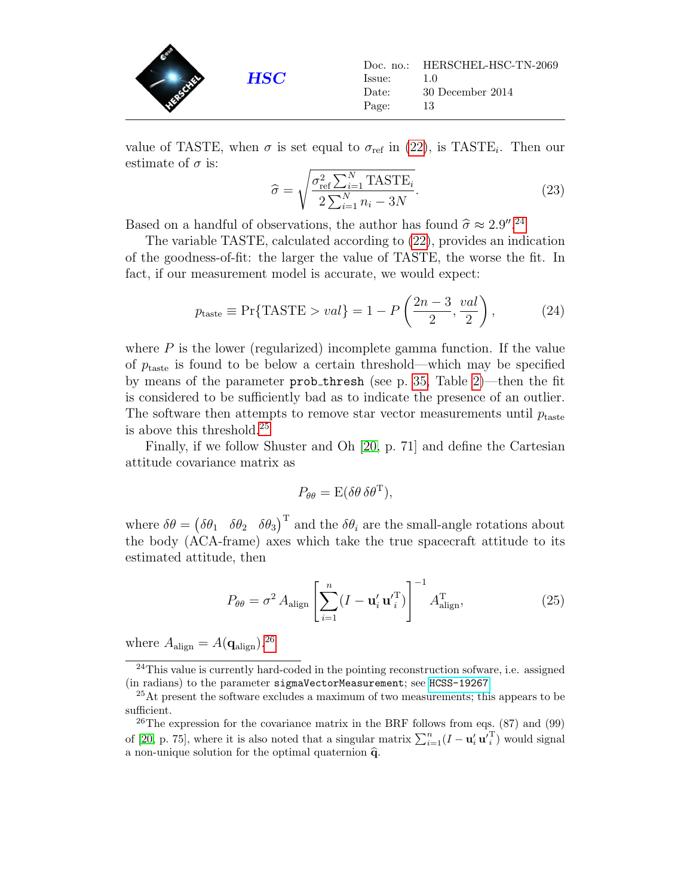

value of TASTE, when  $\sigma$  is set equal to  $\sigma_{ref}$  in [\(22\)](#page-11-2), is TASTE<sub>i</sub>. Then our estimate of  $\sigma$  is:

<span id="page-12-5"></span>
$$
\hat{\sigma} = \sqrt{\frac{\sigma_{\text{ref}}^2 \sum_{i=1}^N \text{TASTE}_i}{2 \sum_{i=1}^N n_i - 3N}}.
$$
\n(23)

Based on a handful of observations, the author has found  $\hat{\sigma} \approx 2.9''$ .<sup>[24](#page-12-0)</sup><br>The variable TASTE coloulated associance (22) provides an ind

The variable TASTE, calculated according to [\(22\)](#page-11-2), provides an indication of the goodness-of-fit: the larger the value of TASTE, the worse the fit. In fact, if our measurement model is accurate, we would expect:

<span id="page-12-3"></span>
$$
p_{\text{taste}} \equiv \Pr\{\text{TASTE} > val\} = 1 - P\left(\frac{2n-3}{2}, \frac{val}{2}\right),\tag{24}
$$

where  $P$  is the lower (regularized) incomplete gamma function. If the value of  $p_{\text{taste}}$  is found to be below a certain threshold—which may be specified by means of the parameter prob thresh (see p. [35,](#page-33-0) Table [2\)](#page-33-0)—then the fit is considered to be sufficiently bad as to indicate the presence of an outlier. The software then attempts to remove star vector measurements until  $p_{\text{taste}}$ is above this threshold.[25](#page-12-1)

Finally, if we follow Shuster and Oh [\[20,](#page-47-3) p. 71] and define the Cartesian attitude covariance matrix as

$$
P_{\theta\theta} = \mathcal{E}(\delta\theta \,\delta\theta^{\mathrm{T}}),
$$

where  $\delta\theta = (\delta\theta_1 \quad \delta\theta_2 \quad \delta\theta_3)^{\mathrm{T}}$  and the  $\delta\theta_i$  are the small-angle rotations about the body (ACA-frame) axes which take the true spacecraft attitude to its estimated attitude, then

<span id="page-12-4"></span>
$$
P_{\theta\theta} = \sigma^2 A_{\text{align}} \left[ \sum_{i=1}^n (I - \mathbf{u}'_i \mathbf{u}'_i^{\text{T}}) \right]^{-1} A_{\text{align}}^{\text{T}}, \tag{25}
$$

where  $A_{\text{align}} = A(\mathbf{q}_{\text{align}})^{26}$  $A_{\text{align}} = A(\mathbf{q}_{\text{align}})^{26}$  $A_{\text{align}} = A(\mathbf{q}_{\text{align}})^{26}$ 

<span id="page-12-0"></span><sup>24</sup>This value is currently hard-coded in the pointing reconstruction sofware, i.e. assigned (in radians) to the parameter sigmaVectorMeasurement; see [HCSS-19267](http://herschel.esac.esa.int/jira/browse/HCSS-19267).

<span id="page-12-1"></span><sup>&</sup>lt;sup>25</sup>At present the software excludes a maximum of two measurements; this appears to be sufficient.

<span id="page-12-2"></span><sup>&</sup>lt;sup>26</sup>The expression for the covariance matrix in the BRF follows from eqs.  $(87)$  and  $(99)$ of [\[20,](#page-47-3) p. 75], where it is also noted that a singular matrix  $\sum_{i=1}^{n} (I - \mathbf{u}'_i \mathbf{u}'_i^{\mathrm{T}})$  would signal a non-unique solution for the optimal quaternion  $\hat{q}$ .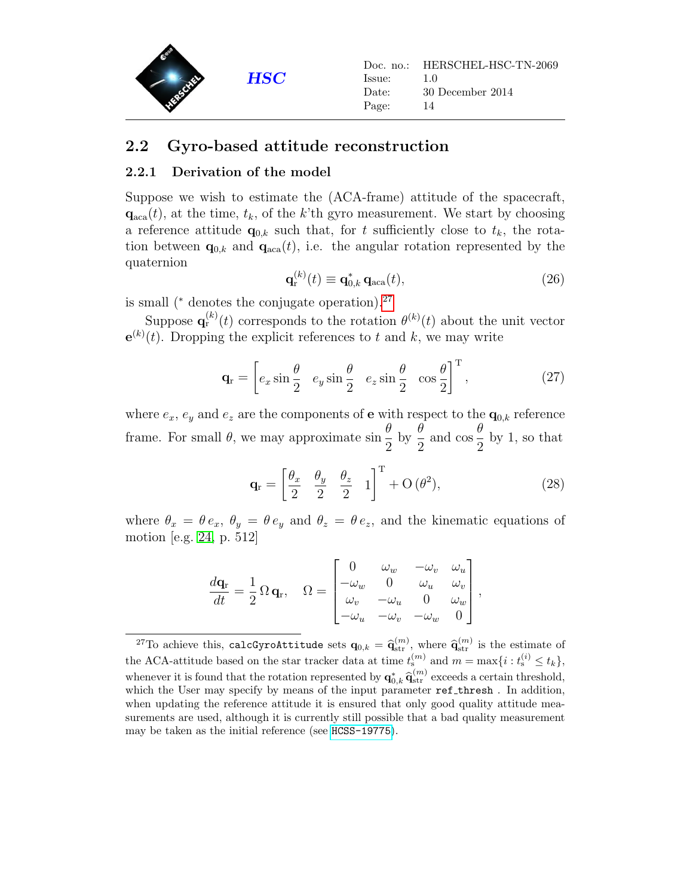

#### <span id="page-13-0"></span>2.2 Gyro-based attitude reconstruction

#### <span id="page-13-1"></span>2.2.1 Derivation of the model

Suppose we wish to estimate the (ACA-frame) attitude of the spacecraft,  $\mathbf{q}_{\text{aca}}(t)$ , at the time,  $t_k$ , of the k'th gyro measurement. We start by choosing a reference attitude  $\mathbf{q}_{0,k}$  such that, for t sufficiently close to  $t_k$ , the rotation between  $\mathbf{q}_{0,k}$  and  $\mathbf{q}_{aca}(t)$ , i.e. the angular rotation represented by the quaternion

<span id="page-13-3"></span>
$$
\mathbf{q}_{\mathbf{r}}^{(k)}(t) \equiv \mathbf{q}_{0,k}^* \, \mathbf{q}_{\text{aca}}(t),\tag{26}
$$

is small ( $*$  denotes the conjugate operation).<sup>[27](#page-13-2)</sup>

Suppose  $\mathbf{q}_{r}^{(k)}(t)$  corresponds to the rotation  $\theta^{(k)}(t)$  about the unit vector  $e^{(k)}(t)$ . Dropping the explicit references to t and k, we may write

<span id="page-13-5"></span>
$$
\mathbf{q}_{\rm r} = \begin{bmatrix} e_x \sin \frac{\theta}{2} & e_y \sin \frac{\theta}{2} & e_z \sin \frac{\theta}{2} & \cos \frac{\theta}{2} \end{bmatrix}^{\rm T},\tag{27}
$$

where  $e_x$ ,  $e_y$  and  $e_z$  are the components of **e** with respect to the  $\mathbf{q}_{0,k}$  reference frame. For small  $\theta$ , we may approximate sin θ 2 by  $\frac{\theta}{2}$ 2 and  $\cos \frac{\theta}{2}$ 2 by 1, so that

<span id="page-13-4"></span>
$$
\mathbf{q}_{\rm r} = \begin{bmatrix} \frac{\theta_x}{2} & \frac{\theta_y}{2} & \frac{\theta_z}{2} & 1 \end{bmatrix}^{\rm T} + \mathcal{O}\left(\theta^2\right),\tag{28}
$$

where  $\theta_x = \theta e_x$ ,  $\theta_y = \theta e_y$  and  $\theta_z = \theta e_z$ , and the kinematic equations of motion [e.g. [24,](#page-48-0) p. 512]

$$
\frac{d\mathbf{q}_r}{dt} = \frac{1}{2} \Omega \mathbf{q}_r, \quad \Omega = \begin{bmatrix} 0 & \omega_w & -\omega_v & \omega_u \\ -\omega_w & 0 & \omega_u & \omega_v \\ \omega_v & -\omega_u & 0 & \omega_w \\ -\omega_u & -\omega_v & -\omega_w & 0 \end{bmatrix},
$$

<span id="page-13-2"></span><sup>&</sup>lt;sup>27</sup>To achieve this, calcGyroAttitude sets  $\mathbf{q}_{0,k} = \mathbf{\hat{q}}_{\text{str}}^{(m)}$ , where  $\mathbf{\hat{q}}_{\text{str}}^{(m)}$  is the estimate of the ACA-attitude based on the star tracker data at time  $t_s^{(m)}$  and  $m = \max\{i : t_s^{(i)} \le t_k\},\$ whenever it is found that the rotation represented by  $q_{0,k}^* \hat{q}_{str}^{(m)}$  exceeds a certain threshold,<br>which the User may specify by means of the input parameter ref. threshold, In addition which the User may specify by means of the input parameter  $ref\_thresh$  . In addition, when updating the reference attitude it is ensured that only good quality attitude measurements are used, although it is currently still possible that a bad quality measurement may be taken as the initial reference (see [HCSS-19775](http://herschel.esac.esa.int/jira/browse/HCSS-19775)).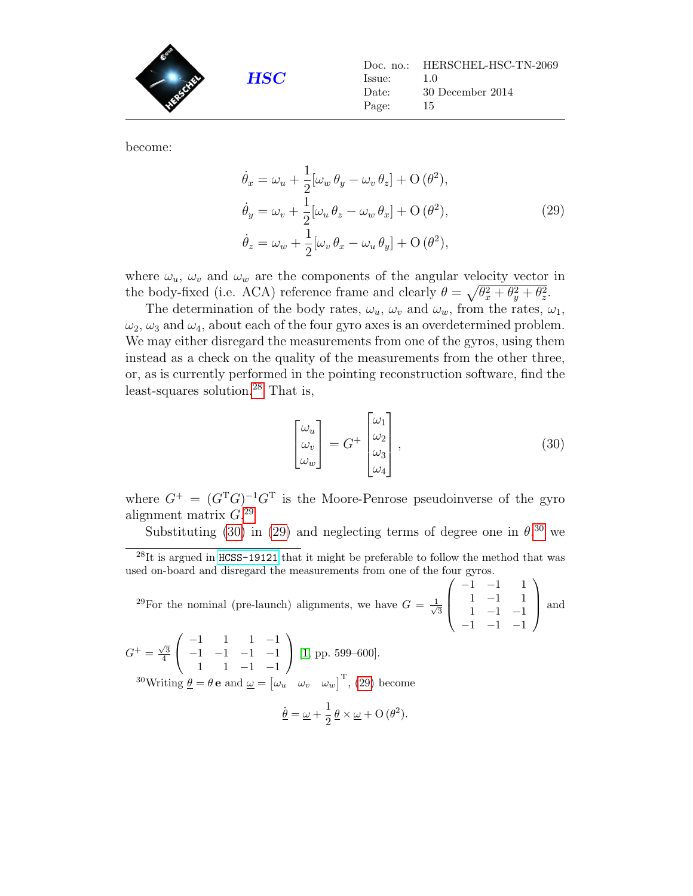

<span id="page-14-3"></span>become:

$$
\dot{\theta}_x = \omega_u + \frac{1}{2} [\omega_w \theta_y - \omega_v \theta_z] + O(\theta^2),
$$
  
\n
$$
\dot{\theta}_y = \omega_v + \frac{1}{2} [\omega_u \theta_z - \omega_w \theta_x] + O(\theta^2),
$$
  
\n
$$
\dot{\theta}_z = \omega_w + \frac{1}{2} [\omega_v \theta_x - \omega_u \theta_y] + O(\theta^2),
$$
\n(29)

where  $\omega_u$ ,  $\omega_v$  and  $\omega_w$  are the components of the angular velocity vector in the body-fixed (i.e. ACA) reference frame and clearly  $\theta = \sqrt{\theta_x^2 + \theta_y^2 + \theta_z^2}$ .

The determination of the body rates,  $\omega_u$ ,  $\omega_v$  and  $\omega_w$ , from the rates,  $\omega_1$ ,  $\omega_2$ ,  $\omega_3$  and  $\omega_4$ , about each of the four gyro axes is an overdetermined problem. We may either disregard the measurements from one of the gyros, using them instead as a check on the quality of the measurements from the other three, or, as is currently performed in the pointing reconstruction software, find the least-squares solution.[28](#page-14-0) That is,

<span id="page-14-2"></span>
$$
\begin{bmatrix} \omega_u \\ \omega_v \\ \omega_w \end{bmatrix} = G^+ \begin{bmatrix} \omega_1 \\ \omega_2 \\ \omega_3 \\ \omega_4 \end{bmatrix}, \qquad (30)
$$

where  $G^+ = (G^T G)^{-1} G^T$  is the Moore-Penrose pseudoinverse of the gyro alignment matrix  $G^{29}$  $G^{29}$  $G^{29}$ 

Substituting [\(30\)](#page-14-2) in [\(29\)](#page-14-3) and neglecting terms of degree one in  $\theta$ ,<sup>[30](#page-14-4)</sup> we

<span id="page-14-1"></span><sup>29</sup>For the nominal (pre-launch) alignments, we have  $G = \frac{1}{4}$ 3  $\sqrt{ }$  $\overline{\phantom{a}}$  $-1$   $-1$  1 1 −1 1 1 −1 −1  $-1$   $-1$   $-1$  $\setminus$ | and

<span id="page-14-4"></span> $G^{+} = \frac{\sqrt{3}}{4}$  $\sqrt{ }$  $\mathcal{L}$ −1 1 1 −1 −1 −1 −1 −1 1 1 −1 −1  $\setminus$  $[1, pp. 599-600].$  $[1, pp. 599-600].$ <sup>30</sup>Writing  $\underline{\theta} = \theta \mathbf{e}$  and  $\underline{\omega} = [\omega_u \ \omega_v \ \omega_w]^{\mathrm{T}}$ , [\(29\)](#page-14-3) become

$$
\underline{\dot{\theta}} = \underline{\omega} + \frac{1}{2} \underline{\theta} \times \underline{\omega} + O(\theta^2).
$$

<span id="page-14-0"></span> $^{28}$ It is argued in [HCSS-19121](http://herschel.esac.esa.int/jira/browse/HCSS-19121) that it might be preferable to follow the method that was used on-board and disregard the measurements from one of the four gyros.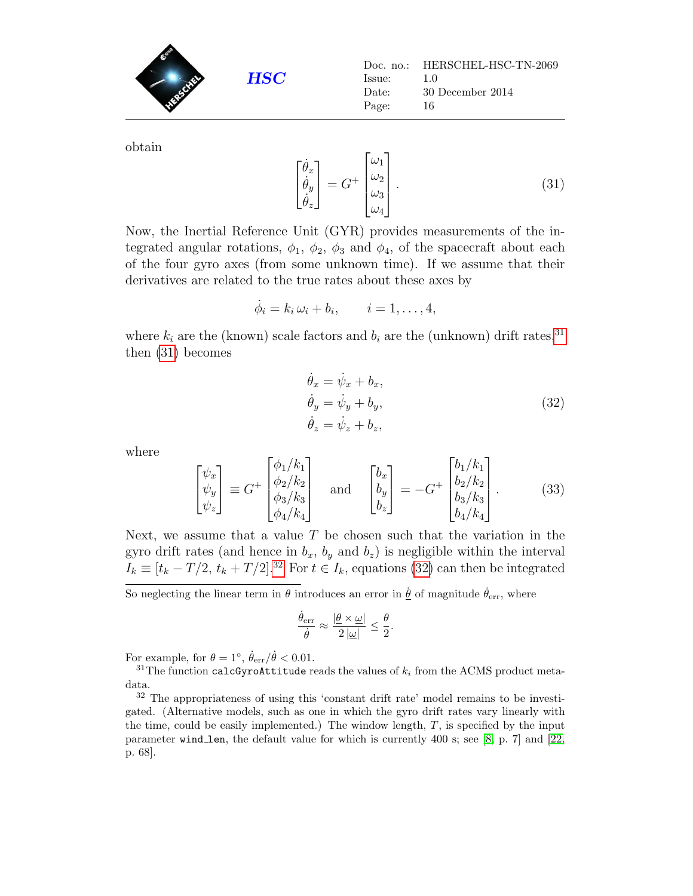**HSC** Doc. no.: HERSCHEL-HSC-TN-2069 Issue: 1.0 Date: 30 December 2014 Page: 16

obtain

<span id="page-15-2"></span>
$$
\begin{bmatrix} \dot{\theta}_x \\ \dot{\theta}_y \\ \dot{\theta}_z \end{bmatrix} = G^+ \begin{bmatrix} \omega_1 \\ \omega_2 \\ \omega_3 \\ \omega_4 \end{bmatrix} . \tag{31}
$$

Now, the Inertial Reference Unit (GYR) provides measurements of the integrated angular rotations,  $\phi_1$ ,  $\phi_2$ ,  $\phi_3$  and  $\phi_4$ , of the spacecraft about each of the four gyro axes (from some unknown time). If we assume that their derivatives are related to the true rates about these axes by

$$
\dot{\phi}_i = k_i \,\omega_i + b_i, \qquad i = 1, \ldots, 4,
$$

where  $k_i$  are the (known) scale factors and  $b_i$  are the (unknown) drift rates,<sup>[31](#page-15-1)</sup> then [\(31\)](#page-15-2) becomes

$$
\dot{\theta}_x = \dot{\psi}_x + b_x, \n\dot{\theta}_y = \dot{\psi}_y + b_y, \n\dot{\theta}_z = \dot{\psi}_z + b_z,
$$
\n(32)

<span id="page-15-3"></span>where

<span id="page-15-4"></span>
$$
\begin{bmatrix} \psi_x \\ \psi_y \\ \psi_z \end{bmatrix} \equiv G^+ \begin{bmatrix} \phi_1/k_1 \\ \phi_2/k_2 \\ \phi_3/k_3 \\ \phi_4/k_4 \end{bmatrix} \quad \text{and} \quad \begin{bmatrix} b_x \\ b_y \\ b_z \end{bmatrix} = -G^+ \begin{bmatrix} b_1/k_1 \\ b_2/k_2 \\ b_3/k_3 \\ b_4/k_4 \end{bmatrix} . \tag{33}
$$

Next, we assume that a value  $T$  be chosen such that the variation in the gyro drift rates (and hence in  $b_x$ ,  $b_y$  and  $b_z$ ) is negligible within the interval  $I_k \equiv [t_k - T/2, t_k + T/2]$ .<sup>[32](#page-15-0)</sup> For  $t \in I_k$ , equations [\(32\)](#page-15-3) can then be integrated

So neglecting the linear term in  $\theta$  introduces an error in  $\dot{\theta}$  of magnitude  $\dot{\theta}_{err}$ , where

$$
\frac{\dot{\theta}_{\rm err}}{\dot{\theta}}\approx\frac{|\underline{\theta}\times\underline{\omega}|}{2\left|\underline{\omega}\right|}\leq\frac{\theta}{2}.
$$

For example, for  $\theta = 1^{\circ}$ ,  $\dot{\theta}_{\text{err}} / \dot{\theta} < 0.01$ .

<span id="page-15-1"></span> $31$ The function calcGyroAttitude reads the values of  $k_i$  from the ACMS product metadata.

<span id="page-15-0"></span><sup>32</sup> The appropriateness of using this 'constant drift rate' model remains to be investigated. (Alternative models, such as one in which the gyro drift rates vary linearly with the time, could be easily implemented.) The window length,  $T$ , is specified by the input parameter wind len, the default value for which is currently 400 s; see [\[8,](#page-46-4) p. 7] and [\[22,](#page-47-1) p. 68].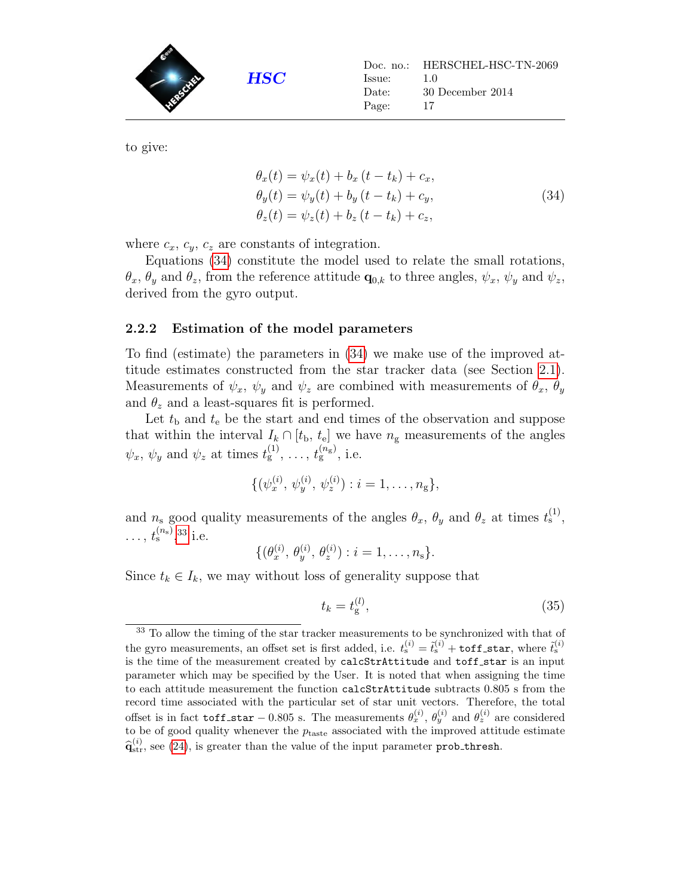

<span id="page-16-1"></span>to give:

$$
\theta_x(t) = \psi_x(t) + b_x (t - t_k) + c_x,\n\theta_y(t) = \psi_y(t) + b_y (t - t_k) + c_y,\n\theta_z(t) = \psi_z(t) + b_z (t - t_k) + c_z,
$$
\n(34)

where  $c_x$ ,  $c_y$ ,  $c_z$  are constants of integration.

Equations [\(34\)](#page-16-1) constitute the model used to relate the small rotations,  $\theta_x$ ,  $\theta_y$  and  $\theta_z$ , from the reference attitude  $\mathbf{q}_{0,k}$  to three angles,  $\psi_x$ ,  $\psi_y$  and  $\psi_z$ , derived from the gyro output.

#### <span id="page-16-0"></span>2.2.2 Estimation of the model parameters

To find (estimate) the parameters in [\(34\)](#page-16-1) we make use of the improved attitude estimates constructed from the star tracker data (see Section [2.1\)](#page-3-1). Measurements of  $\psi_x$ ,  $\psi_y$  and  $\psi_z$  are combined with measurements of  $\theta_x$ ,  $\theta_y$ and  $\theta_z$  and a least-squares fit is performed.

Let  $t<sub>b</sub>$  and  $t<sub>e</sub>$  be the start and end times of the observation and suppose that within the interval  $I_k \cap [t_{\rm b}, t_{\rm e}]$  we have  $n_{\rm g}$  measurements of the angles  $\psi_x, \, \psi_y$  and  $\psi_z$  at times  $t_g^{(1)}, \, \ldots, t_g^{(n_g)}$ , i.e.

$$
\{(\psi_x^{(i)}, \psi_y^{(i)}, \psi_z^{(i)}): i = 1, \ldots, n_g\},\
$$

and  $n_s$  good quality measurements of the angles  $\theta_x$ ,  $\theta_y$  and  $\theta_z$  at times  $t_s^{(1)}$ ,  $\ldots, t_{\rm s}^{(n_{\rm s})}$ , [33](#page-16-2) i.e.

$$
\{(\theta_x^{(i)}, \theta_y^{(i)}, \theta_z^{(i)}): i = 1, \ldots, n_s\}.
$$

Since  $t_k \in I_k$ , we may without loss of generality suppose that

<span id="page-16-3"></span>
$$
t_k = t_g^{(l)},\tag{35}
$$

<span id="page-16-2"></span><sup>&</sup>lt;sup>33</sup> To allow the timing of the star tracker measurements to be synchronized with that of the gyro measurements, an offset set is first added, i.e.  $t_s^{(i)} = \tilde{t}_s^{(i)} + \text{toff\_star}$ , where  $\tilde{t}_s^{(i)}$ is the time of the measurement created by calcStrAttitude and toff\_star is an input parameter which may be specified by the User. It is noted that when assigning the time to each attitude measurement the function calcStrAttitude subtracts 0.805 s from the record time associated with the particular set of star unit vectors. Therefore, the total offset is in fact  $\text{toff\_star} - 0.805$  s. The measurements  $\theta_x^{(i)}$ ,  $\theta_y^{(i)}$  and  $\theta_z^{(i)}$  are considered to be of good quality whenever the  $p_{\mathrm{taste}}$  associated with the improved attitude estimate  $\hat{\mathbf{q}}_{\text{str}}^{(i)}$ , see [\(24\)](#page-12-3), is greater than the value of the input parameter prob thresh.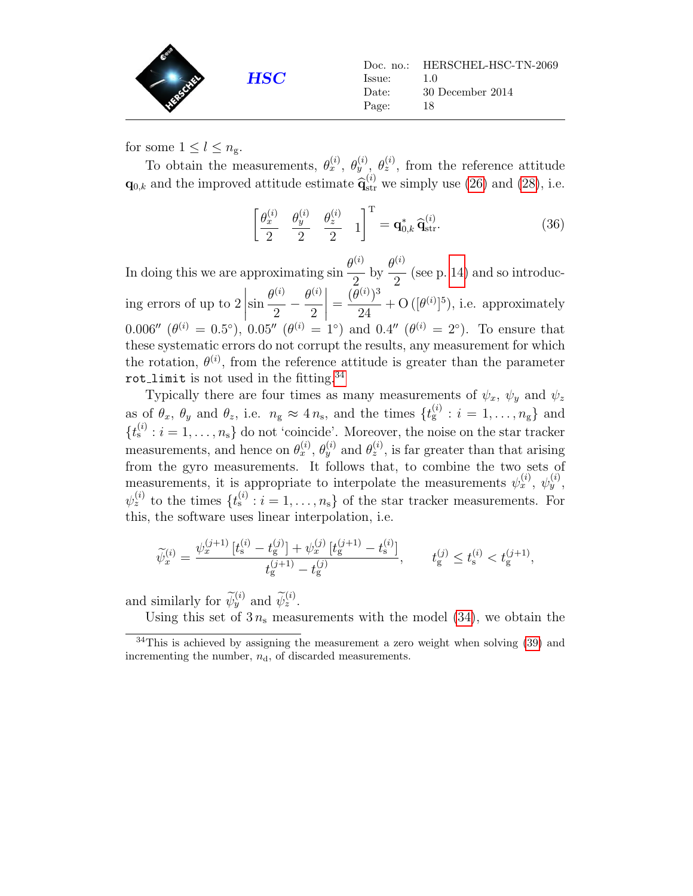

for some  $1 \leq l \leq n_{\rm g}$ .

To obtain the measurements,  $\theta_x^{(i)}$ ,  $\theta_y^{(i)}$ ,  $\theta_z^{(i)}$ , from the reference attitude  $\mathbf{q}_{0,k}$  and the improved attitude estimate  $\hat{\mathbf{q}}_{\text{str}}^{(i)}$  we simply use [\(26\)](#page-13-3) and [\(28\)](#page-13-4), i.e.

<span id="page-17-1"></span>
$$
\left[\frac{\theta_x^{(i)}}{2} \quad \frac{\theta_y^{(i)}}{2} \quad \frac{\theta_z^{(i)}}{2} \quad 1\right]^{\mathrm{T}} = \mathbf{q}_{0,k}^* \, \widehat{\mathbf{q}}_{\mathrm{str}}^{(i)}.\tag{36}
$$

In doing this we are approximating  $\sin \frac{\theta^{(i)}}{2}$  by  $\frac{\theta^{(i)}}{2}$  $2\begin{array}{c} 2 \end{array}$  2 (see p. [14\)](#page-13-5) and so introducing errors of up to 2 sin  $\theta^{(i)}$ 2  $-\frac{\theta^{(i)}}{2}$ 2  $\Big| =$  $(\theta^{(i)})^3$ 24  $+ O([{\theta}^{(i)}]^5)$ , i.e. approximately 0.006''  $(\theta^{(i)} = 0.5^{\circ})$ , 0.05''  $(\theta^{(i)} = 1^{\circ})$  and 0.4''  $(\theta^{(i)} = 2^{\circ})$ . To ensure that these systematic errors do not corrupt the results, any measurement for which the rotation,  $\theta^{(i)}$ , from the reference attitude is greater than the parameter rot\_limit is not used in the fitting. $34$ 

Typically there are four times as many measurements of  $\psi_x$ ,  $\psi_y$  and  $\psi_z$ as of  $\theta_x$ ,  $\theta_y$  and  $\theta_z$ , i.e.  $n_g \approx 4 n_s$ , and the times  $\{t_g^{(i)} : i = 1, \ldots, n_g\}$  and  $\{t_{\rm s}^{(i)}: i=1,\ldots,n_{\rm s}\}\$ do not 'coincide'. Moreover, the noise on the star tracker measurements, and hence on  $\theta_x^{(i)}$ ,  $\theta_y^{(i)}$  and  $\theta_z^{(i)}$ , is far greater than that arising from the gyro measurements. It follows that, to combine the two sets of measurements, it is appropriate to interpolate the measurements  $\psi_x^{(i)}$ ,  $\psi_y^{(i)}$ ,  $\psi_z^{(i)}$  to the times  $\{t_s^{(i)} : i = 1, \ldots, n_s\}$  of the star tracker measurements. For this, the software uses linear interpolation, i.e.

$$
\widetilde{\psi}_x^{(i)} = \frac{\psi_x^{(j+1)} \left[ t_s^{(i)} - t_g^{(j)} \right] + \psi_x^{(j)} \left[ t_g^{(j+1)} - t_s^{(i)} \right]}{t_g^{(j+1)} - t_g^{(j)}}, \qquad t_g^{(j)} \le t_s^{(i)} < t_g^{(j+1)},
$$

and similarly for  $\widetilde{\psi}_y^{(i)}$  and  $\widetilde{\psi}_z^{(i)}$ .

Using this set of  $3 n_s$  measurements with the model [\(34\)](#page-16-1), we obtain the

<span id="page-17-0"></span><sup>&</sup>lt;sup>34</sup>This is achieved by assigning the measurement a zero weight when solving [\(39\)](#page-18-0) and incrementing the number,  $n_d$ , of discarded measurements.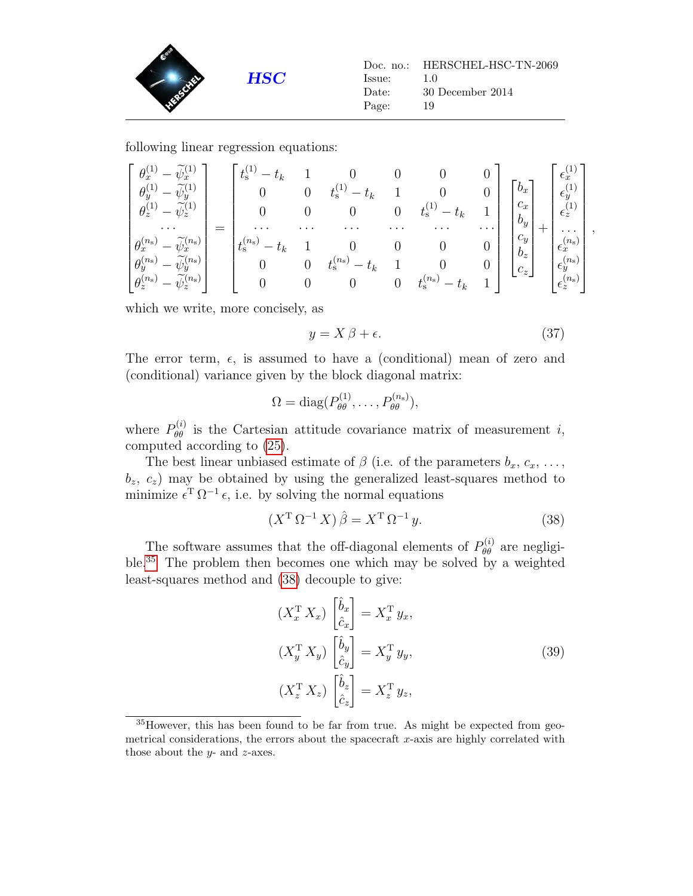

following linear regression equations:

$$
\begin{bmatrix} \theta_x^{(1)} - \tilde{\psi}_x^{(1)} \\ \theta_y^{(1)} - \tilde{\psi}_y^{(1)} \\ \theta_z^{(1)} - \tilde{\psi}_z^{(1)} \\ \cdots \\ \theta_x^{(n_{\rm s})} - \tilde{\psi}_x^{(n_{\rm s})} \\ \theta_y^{(n_{\rm s})} - \tilde{\psi}_y^{(n_{\rm s})} \\ \theta_z^{(n_{\rm s})} - \tilde{\psi}_z^{(n_{\rm s})} \end{bmatrix} = \begin{bmatrix} t_{\rm s}^{(1)} - t_k & 1 & 0 & 0 & 0 & 0 \\ 0 & 0 & t_{\rm s}^{(1)} - t_k & 1 & 0 & 0 \\ 0 & 0 & 0 & t_{\rm s}^{(1)} - t_k & 1 \\ \cdots & \cdots & \cdots & \cdots & \cdots \\ t_{\rm s}^{(n_{\rm s})} - t_k & 1 & 0 & 0 & 0 \\ 0 & 0 & t_{\rm s}^{(n_{\rm s})} - t_k & 1 & 0 & 0 \\ 0 & 0 & 0 & 0 & t_{\rm s}^{(n_{\rm s})} - t_k & 1 \end{bmatrix} \begin{bmatrix} b_x \\ c_x \\ c_x \\ b_y \\ c_y \\ c_z \end{bmatrix} + \begin{bmatrix} \epsilon_x^{(1)} \\ \epsilon_y^{(1)} \\ \epsilon_z^{(1)} \\ \epsilon_z^{(1)} \\ \epsilon_x^{(n_{\rm s})} \\ \epsilon_x^{(n_{\rm s})} \\ \epsilon_z^{(n_{\rm s})} \\ \epsilon_z^{(n_{\rm s})} \end{bmatrix},
$$

which we write, more concisely, as

$$
y = X\beta + \epsilon. \tag{37}
$$

The error term,  $\epsilon$ , is assumed to have a (conditional) mean of zero and (conditional) variance given by the block diagonal matrix:

$$
\Omega = \text{diag}(P_{\theta\theta}^{(1)}, \dots, P_{\theta\theta}^{(n_s)}),
$$

where  $P_{\theta\theta}^{(i)}$  is the Cartesian attitude covariance matrix of measurement *i*, computed according to [\(25\)](#page-12-4).

The best linear unbiased estimate of  $\beta$  (i.e. of the parameters  $b_x, c_x, \ldots$ ,  $b_z, c_z$ ) may be obtained by using the generalized least-squares method to minimize  $\epsilon^{T} \Omega^{-1} \epsilon$ , i.e. by solving the normal equations

<span id="page-18-2"></span>
$$
\left(X^{\mathrm{T}}\,\Omega^{-1}\,X\right)\hat{\beta} = X^{\mathrm{T}}\,\Omega^{-1}\,y.\tag{38}
$$

The software assumes that the off-diagonal elements of  $P_{\theta\theta}^{(i)}$  are negligi-ble.<sup>[35](#page-18-1)</sup> The problem then becomes one which may be solved by a weighted least-squares method and [\(38\)](#page-18-2) decouple to give:

$$
(X_x^{\mathrm{T}} X_x) \begin{bmatrix} \hat{b}_x \\ \hat{c}_x \end{bmatrix} = X_x^{\mathrm{T}} y_x,
$$
  
\n
$$
(X_y^{\mathrm{T}} X_y) \begin{bmatrix} \hat{b}_y \\ \hat{c}_y \end{bmatrix} = X_y^{\mathrm{T}} y_y,
$$
  
\n
$$
(X_z^{\mathrm{T}} X_z) \begin{bmatrix} \hat{b}_z \\ \hat{c}_z \end{bmatrix} = X_z^{\mathrm{T}} y_z,
$$
\n(39)

<span id="page-18-1"></span><span id="page-18-0"></span><sup>35</sup>However, this has been found to be far from true. As might be expected from geometrical considerations, the errors about the spacecraft  $x$ -axis are highly correlated with those about the  $y$ - and  $z$ -axes.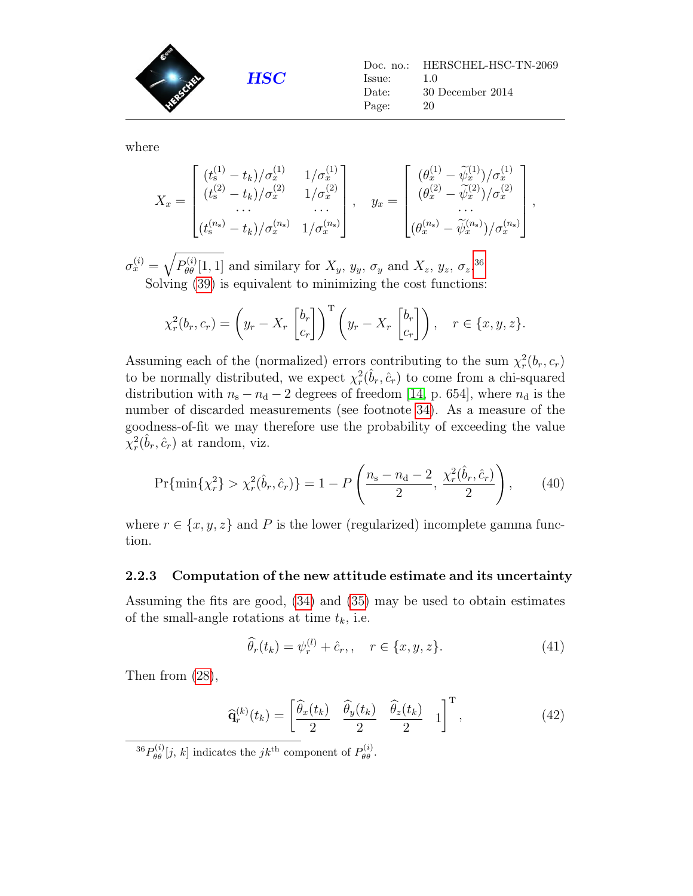

where

$$
X_x = \begin{bmatrix} (t_s^{(1)} - t_k)/\sigma_x^{(1)} & 1/\sigma_x^{(1)} \\ (t_s^{(2)} - t_k)/\sigma_x^{(2)} & 1/\sigma_x^{(2)} \\ \cdots & \cdots & \cdots \\ (t_s^{(n_s)} - t_k)/\sigma_x^{(n_s)} & 1/\sigma_x^{(n_s)} \end{bmatrix}, \quad y_x = \begin{bmatrix} (\theta_x^{(1)} - \tilde{\psi}_x^{(1)})/\sigma_x^{(1)} \\ (\theta_x^{(2)} - \tilde{\psi}_x^{(2)})/\sigma_x^{(2)} \\ \cdots \\ (\theta_x^{(n_s)} - \tilde{\psi}_x^{(n_s)})/\sigma_x^{(n_s)} \end{bmatrix},
$$

 $\sigma_x^{(i)} = \sqrt{P_{\theta\theta}^{(i)}[1,1]}$  and similary for  $X_y$ ,  $y_y$ ,  $\sigma_y$  and  $X_z$ ,  $y_z$ ,  $\sigma_z$ .<sup>[36](#page-19-1)</sup> Solving [\(39\)](#page-18-0) is equivalent to minimizing the cost functions:

$$
\chi_r^2(b_r, c_r) = \left(y_r - X_r \begin{bmatrix} b_r \\ c_r \end{bmatrix}\right)^{\mathrm{T}} \left(y_r - X_r \begin{bmatrix} b_r \\ c_r \end{bmatrix}\right), \quad r \in \{x, y, z\}.
$$

Assuming each of the (normalized) errors contributing to the sum  $\chi^2_r(b_r, c_r)$ to be normally distributed, we expect  $\chi^2_r(\hat{b}_r, \hat{c}_r)$  to come from a chi-squared distribution with  $n_s - n_d - 2$  degrees of freedom [\[14,](#page-47-8) p. 654], where  $n_d$  is the number of discarded measurements (see footnote [34\)](#page-17-0). As a measure of the goodness-of-fit we may therefore use the probability of exceeding the value  $\chi^2_r(\hat{b}_r, \hat{c}_r)$  at random, viz.

<span id="page-19-2"></span>
$$
\Pr\{\min\{\chi_r^2\} > \chi_r^2(\hat{b}_r, \hat{c}_r)\} = 1 - P\left(\frac{n_s - n_d - 2}{2}, \frac{\chi_r^2(\hat{b}_r, \hat{c}_r)}{2}\right),\tag{40}
$$

where  $r \in \{x, y, z\}$  and P is the lower (regularized) incomplete gamma function.

#### <span id="page-19-0"></span>2.2.3 Computation of the new attitude estimate and its uncertainty

Assuming the fits are good, [\(34\)](#page-16-1) and [\(35\)](#page-16-3) may be used to obtain estimates of the small-angle rotations at time  $t_k$ , i.e.

$$
\widehat{\theta}_r(t_k) = \psi_r^{(l)} + \hat{c}_r, \quad r \in \{x, y, z\}.
$$
 (41)

Then from [\(28\)](#page-13-4),

$$
\widehat{\mathbf{q}}_r^{(k)}(t_k) = \begin{bmatrix} \widehat{\theta}_x(t_k) & \widehat{\theta}_y(t_k) & \widehat{\theta}_z(t_k) & 1 \end{bmatrix}^\mathrm{T},\tag{42}
$$

<span id="page-19-1"></span><sup>36</sup> $P_{\theta\theta}^{(i)}[j, k]$  indicates the  $jk$ <sup>th</sup> component of  $P_{\theta\theta}^{(i)}$ .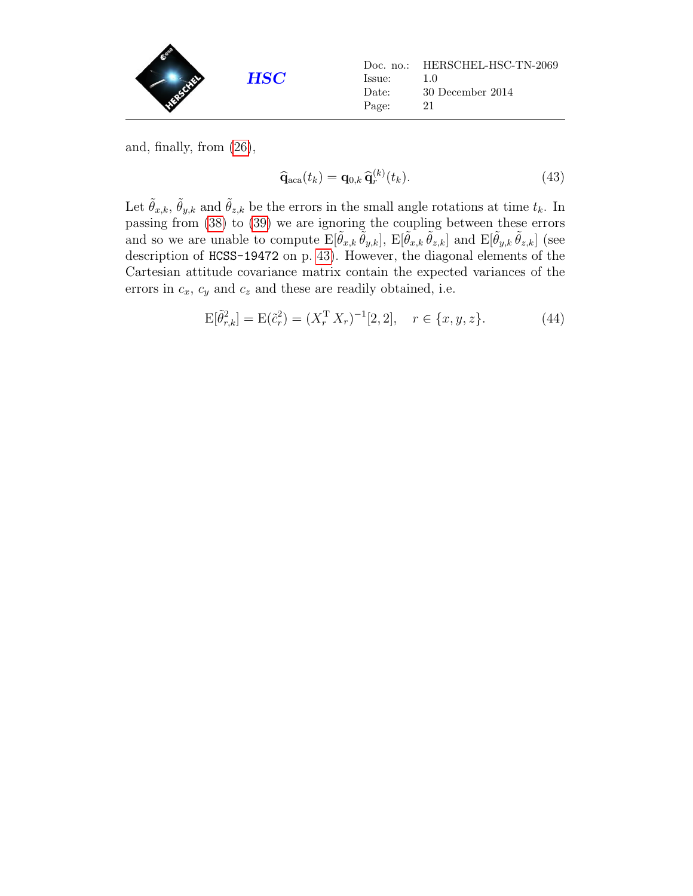| Issue:<br>Date:<br>Page: | Doc. no.: HERSCHEL-HSC-TN-2069<br>1.0<br>30 December 2014<br>21 |
|--------------------------|-----------------------------------------------------------------|
|                          |                                                                 |

and, finally, from [\(26\)](#page-13-3),

$$
\widehat{\mathbf{q}}_{\text{aca}}(t_k) = \mathbf{q}_{0,k} \,\widehat{\mathbf{q}}_r^{(k)}(t_k). \tag{43}
$$

Let  $\tilde{\theta}_{x,k}, \tilde{\theta}_{y,k}$  and  $\tilde{\theta}_{z,k}$  be the errors in the small angle rotations at time  $t_k$ . In passing from [\(38\)](#page-18-2) to [\(39\)](#page-18-0) we are ignoring the coupling between these errors and so we are unable to compute  $E[\tilde{\theta}_{x,k} \tilde{\theta}_{y,k}], E[\tilde{\theta}_{x,k} \tilde{\theta}_{z,k}]$  and  $E[\tilde{\theta}_{y,k} \tilde{\theta}_{z,k}]$  (see description of HCSS-19472 on p. [43\)](#page-40-1). However, the diagonal elements of the Cartesian attitude covariance matrix contain the expected variances of the errors in  $c_x$ ,  $c_y$  and  $c_z$  and these are readily obtained, i.e.

<span id="page-20-0"></span>
$$
E[\tilde{\theta}_{r,k}^2] = E(\tilde{c}_r^2) = (X_r^T X_r)^{-1}[2,2], \quad r \in \{x, y, z\}.
$$
 (44)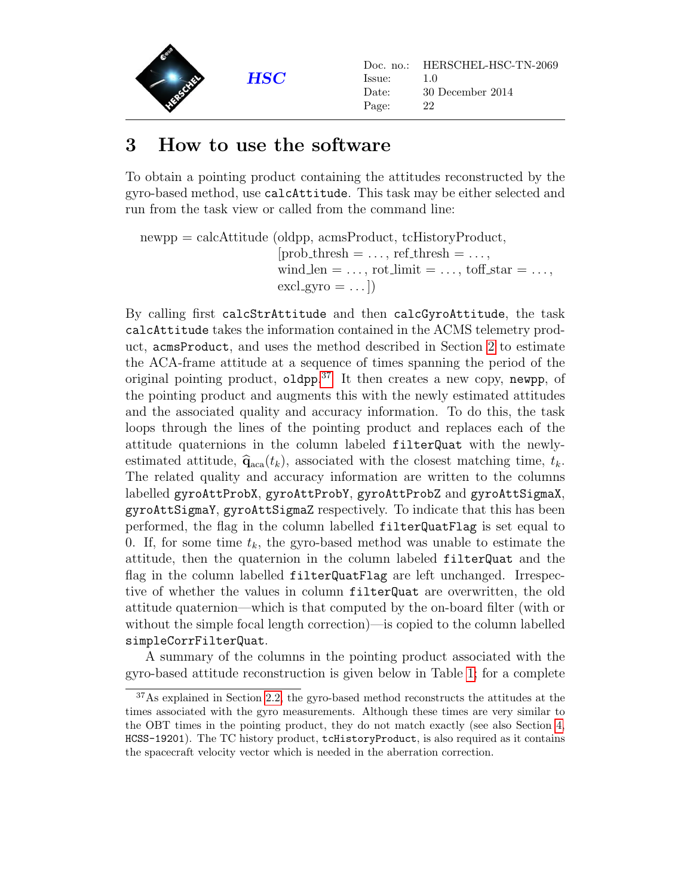

### <span id="page-21-0"></span>3 How to use the software

To obtain a pointing product containing the attitudes reconstructed by the gyro-based method, use calcAttitude. This task may be either selected and run from the task view or called from the command line:

newpp = calcAttitude (oldpp, acmsProduct, tcHistoryProduct,  $[prob\_thresh = \ldots, ref\_thresh = \ldots,$ wind  $len = \ldots$ , rot limit  $= \ldots$ , toff star  $= \ldots$ ,  $excl_gyro = ...$ 

By calling first calcStrAttitude and then calcGyroAttitude, the task calcAttitude takes the information contained in the ACMS telemetry product, acmsProduct, and uses the method described in Section [2](#page-3-0) to estimate the ACA-frame attitude at a sequence of times spanning the period of the original pointing product, oldpp.<sup>[37](#page-21-1)</sup> It then creates a new copy, newpp, of the pointing product and augments this with the newly estimated attitudes and the associated quality and accuracy information. To do this, the task loops through the lines of the pointing product and replaces each of the attitude quaternions in the column labeled filterQuat with the newlyestimated attitude,  $\hat{\mathbf{q}}_{\text{aca}}(t_k)$ , associated with the closest matching time,  $t_k$ . The related quality and accuracy information are written to the columns labelled gyroAttProbX, gyroAttProbY, gyroAttProbZ and gyroAttSigmaX, gyroAttSigmaY, gyroAttSigmaZ respectively. To indicate that this has been performed, the flag in the column labelled filterQuatFlag is set equal to 0. If, for some time  $t_k$ , the gyro-based method was unable to estimate the attitude, then the quaternion in the column labeled filterQuat and the flag in the column labelled filterQuatFlag are left unchanged. Irrespective of whether the values in column filterQuat are overwritten, the old attitude quaternion—which is that computed by the on-board filter (with or without the simple focal length correction)—is copied to the column labelled simpleCorrFilterQuat.

A summary of the columns in the pointing product associated with the gyro-based attitude reconstruction is given below in Table [1;](#page-22-0) for a complete

<span id="page-21-1"></span><sup>&</sup>lt;sup>37</sup>As explained in Section [2.2,](#page-13-0) the gyro-based method reconstructs the attitudes at the times associated with the gyro measurements. Although these times are very similar to the OBT times in the pointing product, they do not match exactly (see also Section [4,](#page-40-0) HCSS-19201). The TC history product, tcHistoryProduct, is also required as it contains the spacecraft velocity vector which is needed in the aberration correction.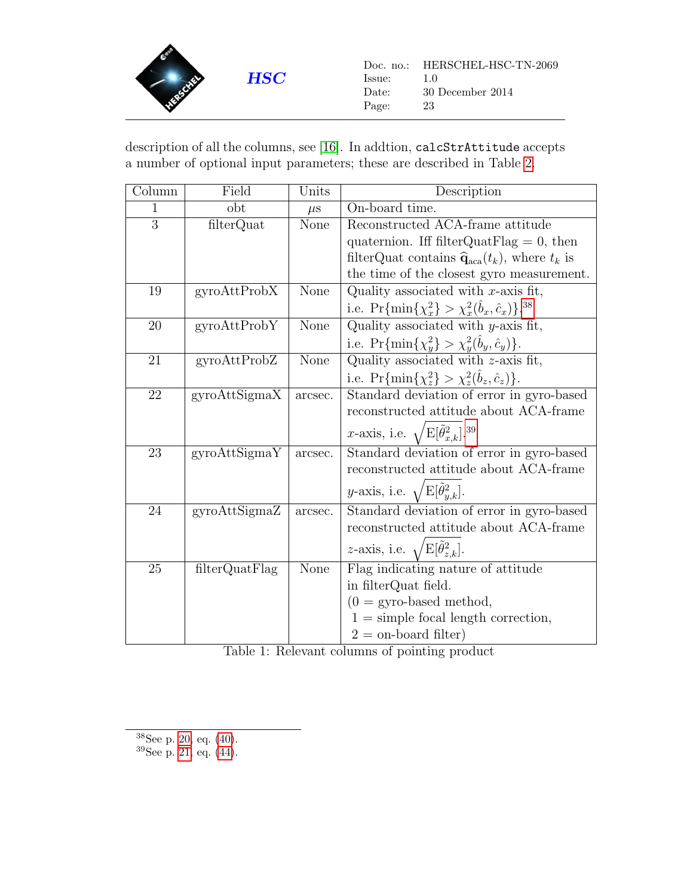

description of all the columns, see [\[16\]](#page-47-9). In addtion, calcStrAttitude accepts a number of optional input parameters; these are described in Table [2.](#page-33-0)

<span id="page-22-0"></span>

| Column | Field          | Units   | Description                                                               |
|--------|----------------|---------|---------------------------------------------------------------------------|
| 1      | obt            | $\mu$ s | On-board time.                                                            |
| 3      | filterQuat     | None    | Reconstructed ACA-frame attitude                                          |
|        |                |         | quaternion. Iff filter QuatElag = $0$ , then                              |
|        |                |         | filterQuat contains $\hat{\mathbf{q}}_{\text{aca}}(t_k)$ , where $t_k$ is |
|        |                |         | the time of the closest gyro measurement.                                 |
| 19     | gyroAttProbX   | None    | Quality associated with $x$ -axis fit,                                    |
|        |                |         | i.e. $\Pr{\min\{\chi_x^2\}} > \chi_x^2(\hat{b}_x, \hat{c}_x)\}^{38}$      |
| 20     | gyroAttProbY   | None    | Quality associated with $y$ -axis fit,                                    |
|        |                |         | i.e. $\Pr{\min\{\chi_y^2\}} > \chi_y^2(b_y, \hat{c}_y)$ .                 |
| 21     | gyroAttProbZ   | None    | Quality associated with $z$ -axis fit,                                    |
|        |                |         | i.e. $\Pr{\min\{\chi_z^2\}} > \chi_z^2(b_z, \hat{c}_z)\}.$                |
| 22     | gyroAttSigmaX  | arcsec. | Standard deviation of error in gyro-based                                 |
|        |                |         | reconstructed attitude about ACA-frame                                    |
|        |                |         | x-axis, i.e. $\sqrt{\mathrm{E}[\tilde{\theta}_{x,k}^2]^{.39}}$            |
| 23     | gyroAttSigmaY  | arcsec. | Standard deviation of error in gyro-based                                 |
|        |                |         | reconstructed attitude about ACA-frame                                    |
|        |                |         | y-axis, i.e. $\sqrt{\mathrm{E}[\tilde{\theta}_{y,k}^2]}$ .                |
| 24     | gyroAttSigmaZ  | arcsec. | Standard deviation of error in gyro-based                                 |
|        |                |         | reconstructed attitude about ACA-frame                                    |
|        |                |         | <i>z</i> -axis, i.e. $\sqrt{\mathrm{E}[\hat{\theta}_{z,k}^2]}$ .          |
| 25     | filterQuatFlag | None    | Flag indicating nature of attitude                                        |
|        |                |         | in filterQuat field.                                                      |
|        |                |         | $(0 = gyro-based method,$                                                 |
|        |                |         | $1 =$ simple focal length correction,                                     |
|        |                |         | $2 =$ on-board filter)                                                    |

Table 1: Relevant columns of pointing product

<span id="page-22-1"></span> $^{38}{\rm{See}}$ p. [20,](#page-19-2) eq. [\(40\)](#page-19-2).

<span id="page-22-2"></span> $39$ See p. [21,](#page-20-0) eq.  $(44)$ .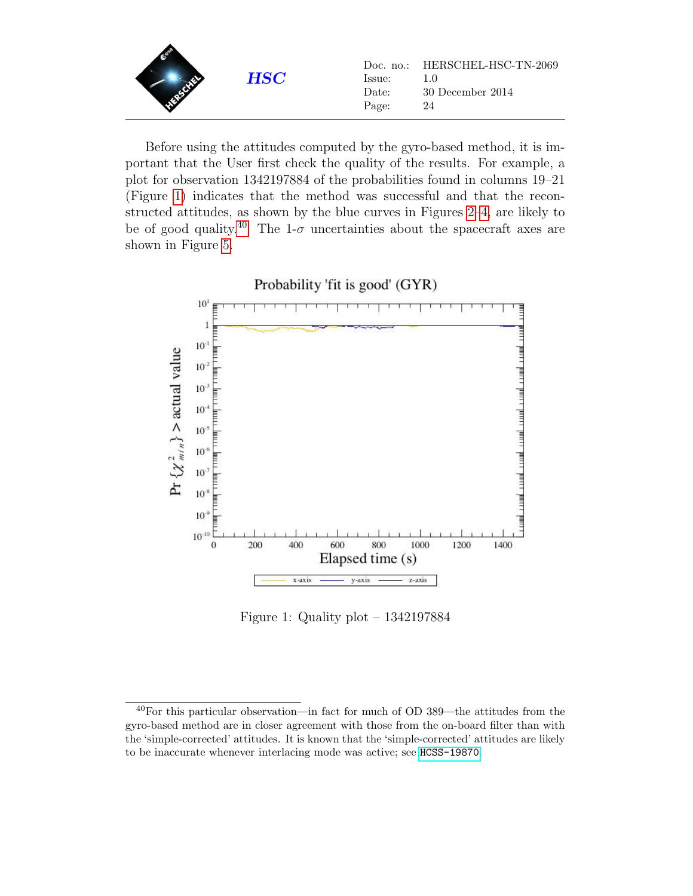| <b>HSC</b> | lssue:<br>Date:<br>Page: | Doc. no.: HERSCHEL-HSC-TN-2069<br>1.O<br>30 December 2014<br>24 |
|------------|--------------------------|-----------------------------------------------------------------|
|------------|--------------------------|-----------------------------------------------------------------|

Before using the attitudes computed by the gyro-based method, it is important that the User first check the quality of the results. For example, a plot for observation 1342197884 of the probabilities found in columns 19–21 (Figure [1\)](#page-23-0) indicates that the method was successful and that the reconstructed attitudes, as shown by the blue curves in Figures [2–](#page-24-0)[4,](#page-26-0) are likely to be of good quality.<sup>[40](#page-23-1)</sup> The 1- $\sigma$  uncertainties about the spacecraft axes are shown in Figure [5.](#page-27-0)



<span id="page-23-0"></span>Figure 1: Quality plot – 1342197884

<span id="page-23-1"></span><sup>40</sup>For this particular observation—in fact for much of OD 389—the attitudes from the gyro-based method are in closer agreement with those from the on-board filter than with the 'simple-corrected' attitudes. It is known that the 'simple-corrected' attitudes are likely to be inaccurate whenever interlacing mode was active; see [HCSS-19870](http://herschel.esac.esa.int/jira/browse/HCSS-19870).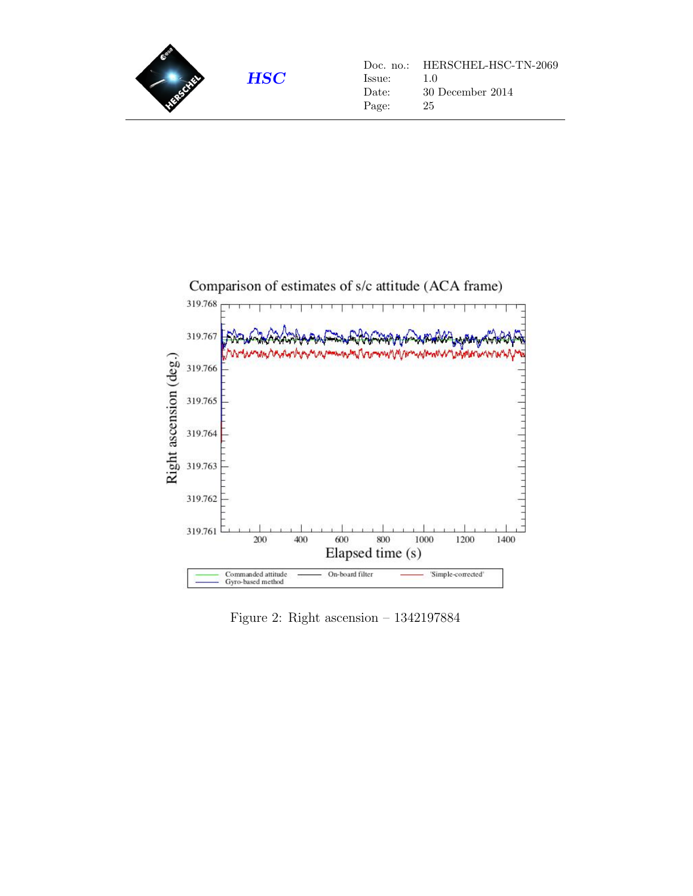



<span id="page-24-0"></span>Figure 2: Right ascension – 1342197884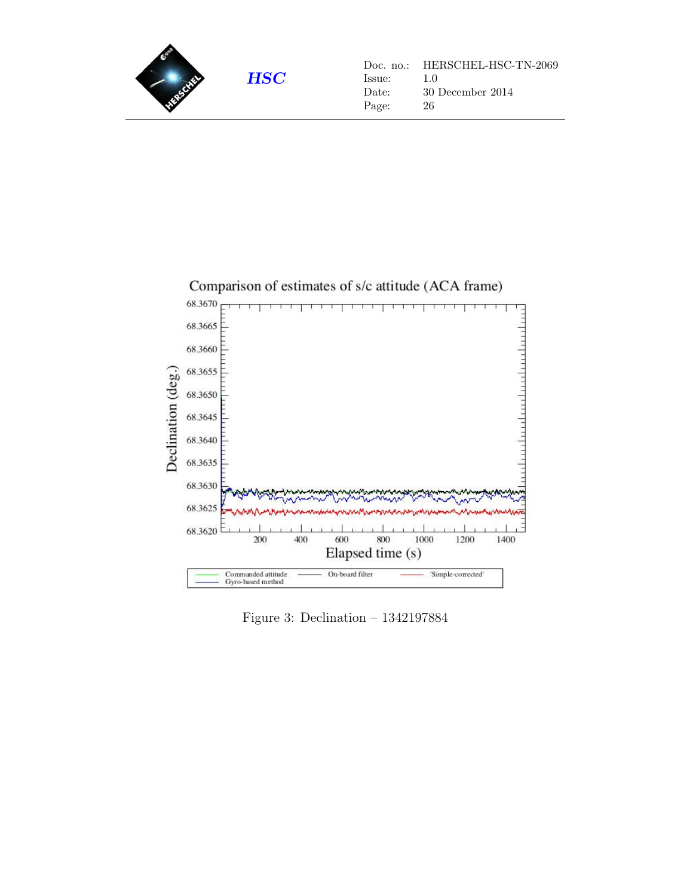



Figure 3: Declination – 1342197884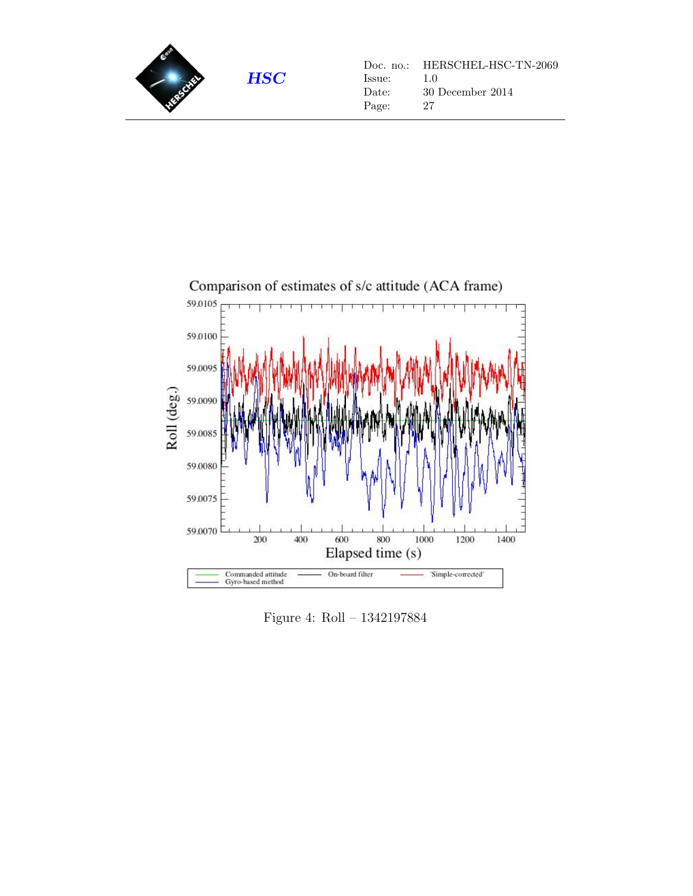



<span id="page-26-0"></span>Figure 4: Roll – 1342197884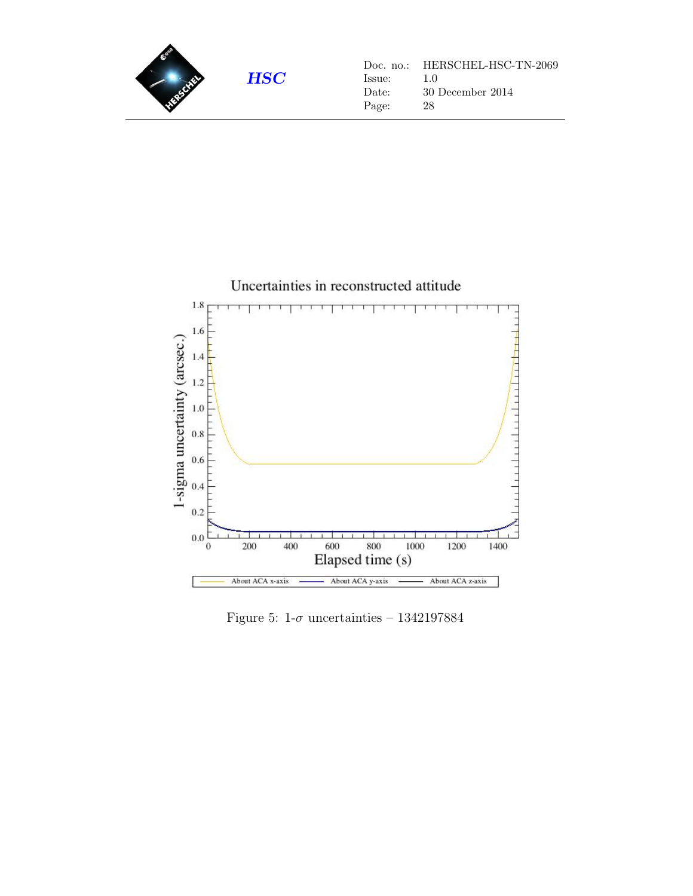



<span id="page-27-0"></span>Figure 5: 1- $\sigma$  uncertainties – 1342197884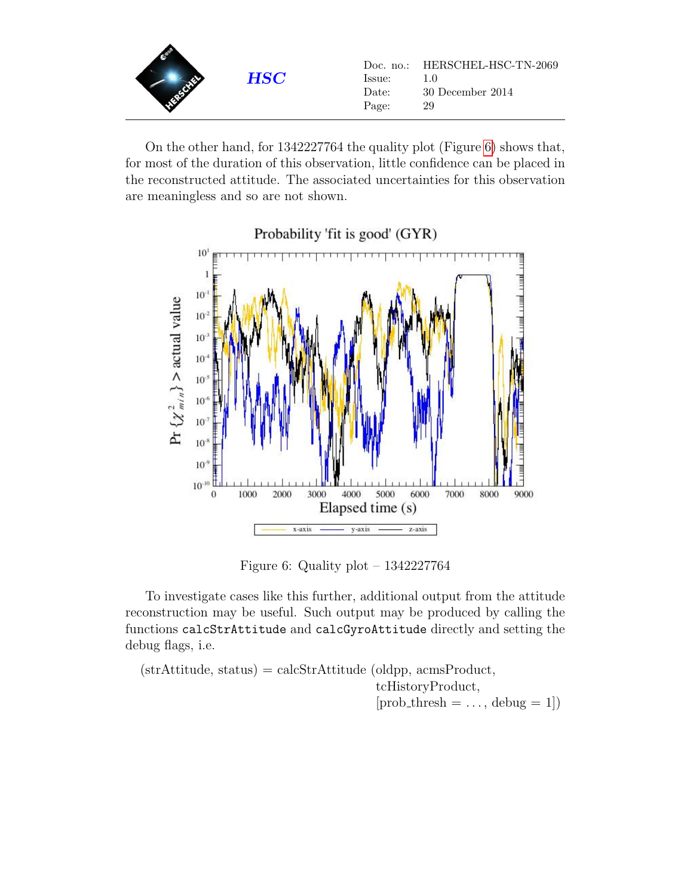| <b>HSC</b> | lssue:<br>Date:<br>Page: | Doc. no.: HERSCHEL-HSC-TN-2069<br>30 December 2014<br>29 |
|------------|--------------------------|----------------------------------------------------------|
|------------|--------------------------|----------------------------------------------------------|

On the other hand, for 1342227764 the quality plot (Figure [6\)](#page-28-0) shows that, for most of the duration of this observation, little confidence can be placed in the reconstructed attitude. The associated uncertainties for this observation are meaningless and so are not shown.





<span id="page-28-0"></span>Figure 6: Quality plot – 1342227764

To investigate cases like this further, additional output from the attitude reconstruction may be useful. Such output may be produced by calling the functions calcStrAttitude and calcGyroAttitude directly and setting the debug flags, i.e.

 $(\text{strAttitude}, \text{status}) = \text{calcStrAttitude}$  (oldpp, acmsProduct, tcHistoryProduct,  $[prob\_thresh = \ldots, delay = 1]$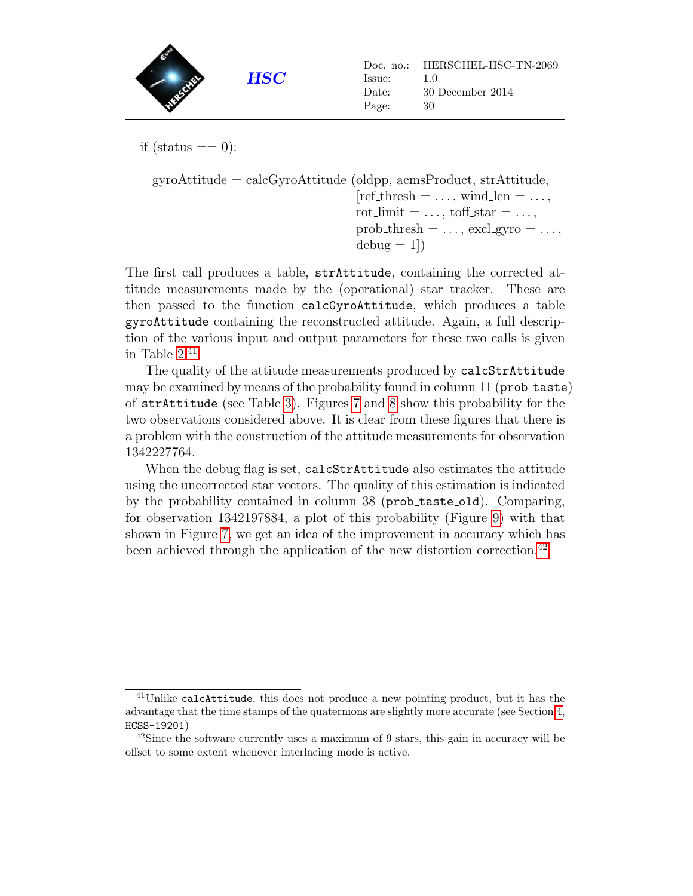

if (status  $== 0$ ):

```
gyroAttitude = calcGyroAttitude (oldpp, acmsProduct, strAttitude,
                                          [ref\_thresh = \ldots, wind\_len = \ldots,rot_limit = \dots, toff_star = \dots,
                                          prob_{\text{thresh}} = \ldots, excl_{\text{gyro}} = \ldots,
                                          \text{debug} = 1
```
The first call produces a table, strAttitude, containing the corrected attitude measurements made by the (operational) star tracker. These are then passed to the function calcGyroAttitude, which produces a table gyroAttitude containing the reconstructed attitude. Again, a full description of the various input and output parameters for these two calls is given in Table  $2.^{41}$  $2.^{41}$  $2.^{41}$ .

The quality of the attitude measurements produced by calcStrAttitude may be examined by means of the probability found in column 11 (prob\_taste) of strAttitude (see Table [3\)](#page-35-0). Figures [7](#page-30-0) and [8](#page-31-0) show this probability for the two observations considered above. It is clear from these figures that there is a problem with the construction of the attitude measurements for observation 1342227764.

When the debug flag is set, calcStrAttitude also estimates the attitude using the uncorrected star vectors. The quality of this estimation is indicated by the probability contained in column 38 (prob\_taste\_old). Comparing, for observation 1342197884, a plot of this probability (Figure [9\)](#page-32-0) with that shown in Figure [7,](#page-30-0) we get an idea of the improvement in accuracy which has been achieved through the application of the new distortion correction.<sup>[42](#page-29-1)</sup>

<span id="page-29-0"></span><sup>41</sup>Unlike calcAttitude, this does not produce a new pointing product, but it has the advantage that the time stamps of the quaternions are slightly more accurate (see Section [4,](#page-40-0) HCSS-19201)

<span id="page-29-1"></span> $42\text{Since the software currently uses a maximum of 9 stars, this gain in accuracy will be}$ offset to some extent whenever interlacing mode is active.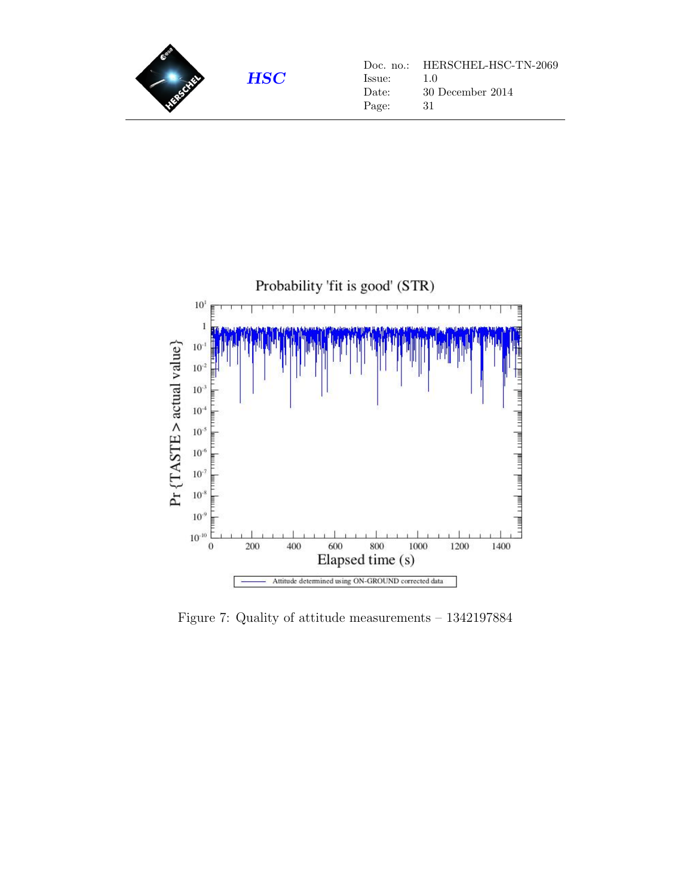



<span id="page-30-0"></span>Figure 7: Quality of attitude measurements – 1342197884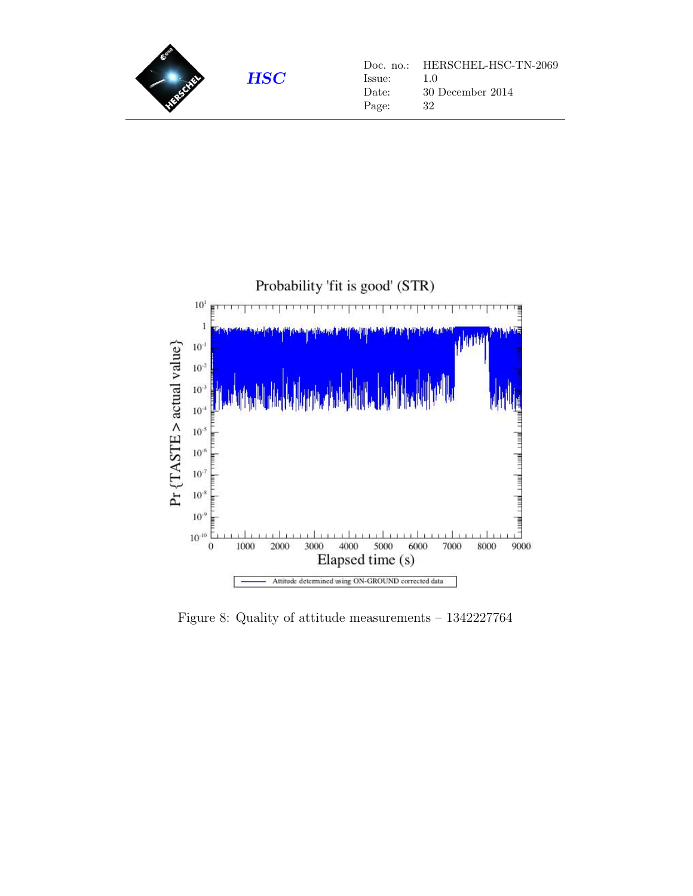



<span id="page-31-0"></span>Figure 8: Quality of attitude measurements – 1342227764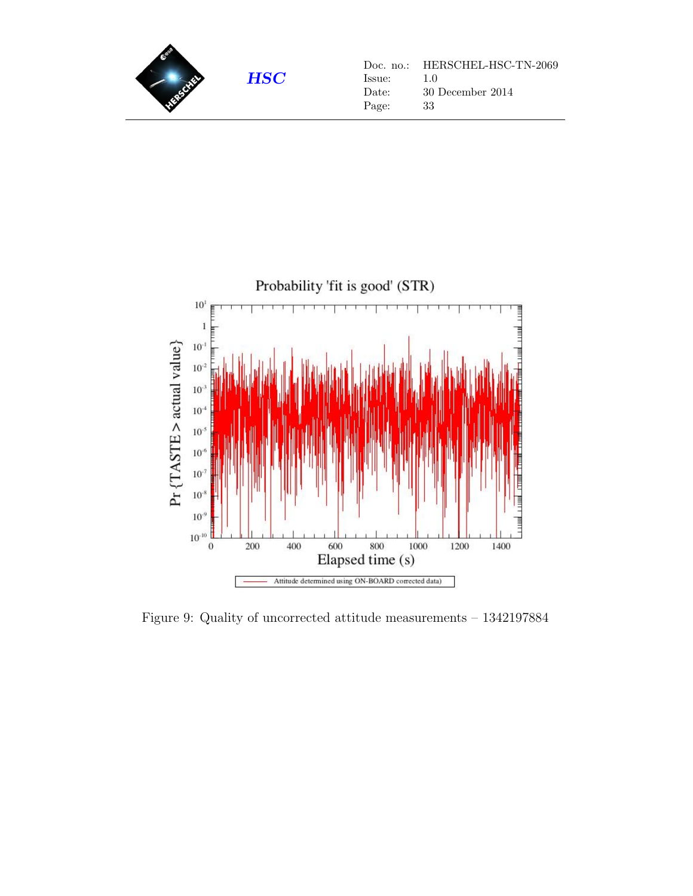



<span id="page-32-0"></span>Figure 9: Quality of uncorrected attitude measurements – 1342197884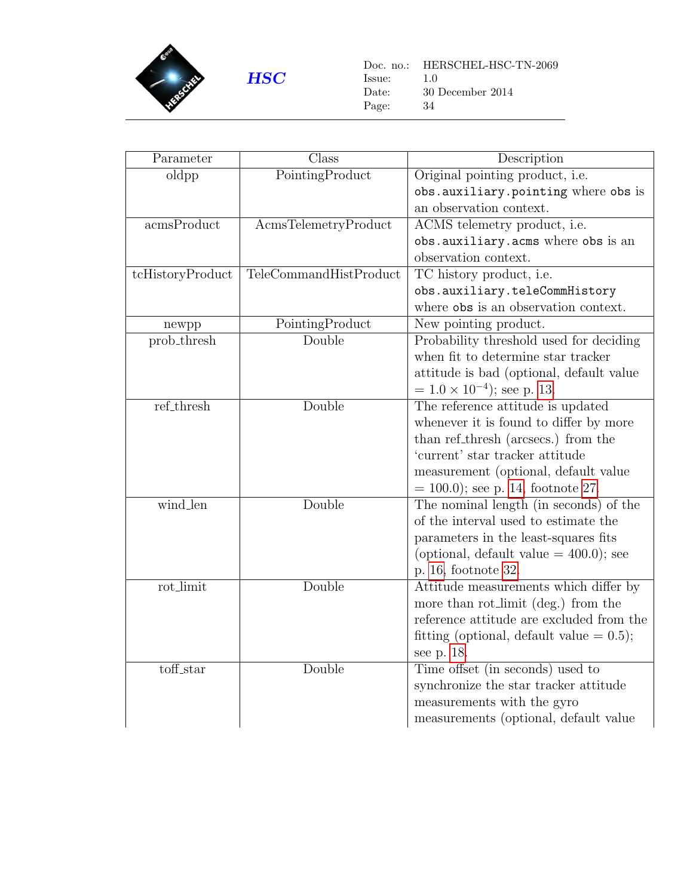

 $\begin{tabular}{ll} Doc. no.: & HERSCHEL-HSC-TN-2069 \\ Issue: & 1.0 \end{tabular}$  ${\rm Issue:} \\ {\rm Date:}$  $30$  December  $2014$ Page: 34

<span id="page-33-0"></span>

| Parameter        | Class                  | Description                                 |
|------------------|------------------------|---------------------------------------------|
| oldpp            | PointingProduct        | Original pointing product, i.e.             |
|                  |                        | obs.auxiliary.pointing where obs is         |
|                  |                        | an observation context.                     |
| acmsProduct      | AcmsTelemetryProduct   | ACMS telemetry product, i.e.                |
|                  |                        | obs.auxiliary.acms where obs is an          |
|                  |                        | observation context.                        |
| tcHistoryProduct | TeleCommandHistProduct | TC history product, i.e.                    |
|                  |                        | obs.auxiliary.teleCommHistory               |
|                  |                        | where obs is an observation context.        |
| newpp            | PointingProduct        | New pointing product.                       |
| prob_thresh      | Double                 | Probability threshold used for deciding     |
|                  |                        | when fit to determine star tracker          |
|                  |                        | attitude is bad (optional, default value)   |
|                  |                        | $= 1.0 \times 10^{-4}$ ; see p. 13.         |
| ref_thresh       | Double                 | The reference attitude is updated           |
|                  |                        | whenever it is found to differ by more      |
|                  |                        | than ref_thresh (arcsecs.) from the         |
|                  |                        | 'current' star tracker attitude             |
|                  |                        | measurement (optional, default value        |
|                  |                        | $= 100.0$ ; see p. 14, footnote 27.         |
| wind_len         | Double                 | The nominal length (in seconds) of the      |
|                  |                        | of the interval used to estimate the        |
|                  |                        | parameters in the least-squares fits        |
|                  |                        | (optional, default value $= 400.0$ ); see   |
|                  |                        | p. 16, footnote 32.                         |
| rot_limit        | Double                 | Attitude measurements which differ by       |
|                  |                        | more than rot_limit (deg.) from the         |
|                  |                        | reference attitude are excluded from the    |
|                  |                        | fitting (optional, default value $= 0.5$ ); |
|                  |                        | see p. 18.                                  |
| toff_star        | Double                 | Time offset (in seconds) used to            |
|                  |                        | synchronize the star tracker attitude       |
|                  |                        | measurements with the gyro                  |
|                  |                        | measurements (optional, default value       |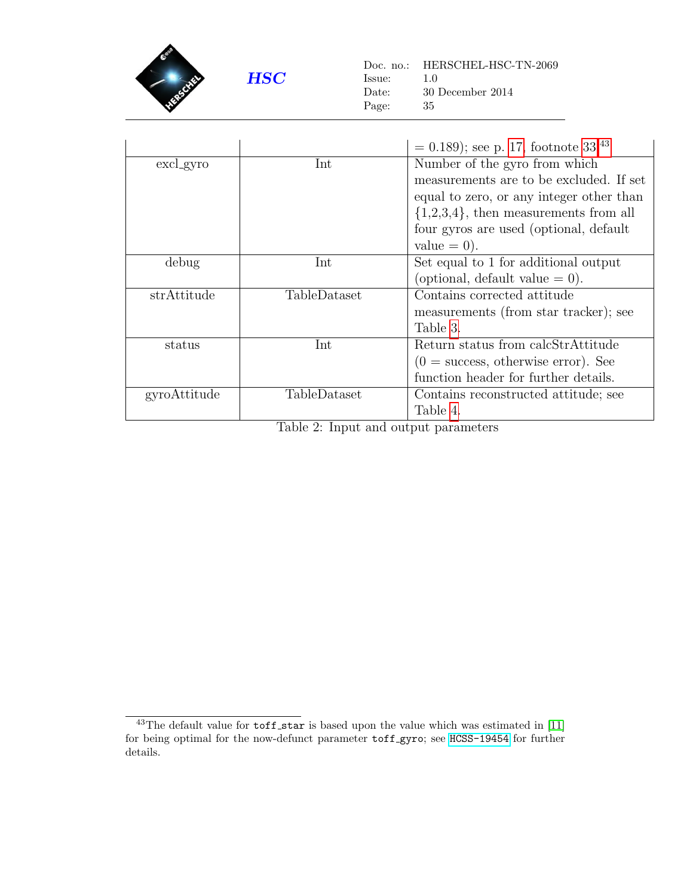

Doc. no.: HERSCHEL-HSC-TN-2069 Issue: 1.0 Date: 30 December 2014 Page: 35

|                  |              | $= 0.189$ ; see p. 17, footnote 33. <sup>43</sup>     |
|------------------|--------------|-------------------------------------------------------|
| Int<br>excl_gyro |              | Number of the gyro from which                         |
|                  |              | measurements are to be excluded. If set               |
|                  |              | equal to zero, or any integer other than              |
|                  |              | $\{1,2,3,4\}$ , then measurements from all            |
|                  |              | four gyros are used (optional, default                |
|                  |              | value $= 0$ ).                                        |
| debug            | Int          | Set equal to 1 for additional output                  |
|                  |              | (optional, default value $= 0$ ).                     |
| strAttitude      | TableDataset | Contains corrected attitude                           |
|                  |              | measurements (from star tracker); see                 |
|                  |              | Table 3.                                              |
| status           | Int          | Return status from calcStrAttitude                    |
|                  |              | $(0 = \text{success}, \text{ otherwise error})$ . See |
|                  |              | function header for further details.                  |
| gyroAttitude     | TableDataset | Contains reconstructed attitude; see                  |
|                  |              | Table 4.                                              |

Table 2: Input and output parameters

<span id="page-34-0"></span> $43$ The default value for  $\text{toff\_star}$  is based upon the value which was estimated in [\[11\]](#page-46-9) for being optimal for the now-defunct parameter toff gyro; see [HCSS-19454](http://herschel.esac.esa.int/jira/browse/HCSS-19454) for further details.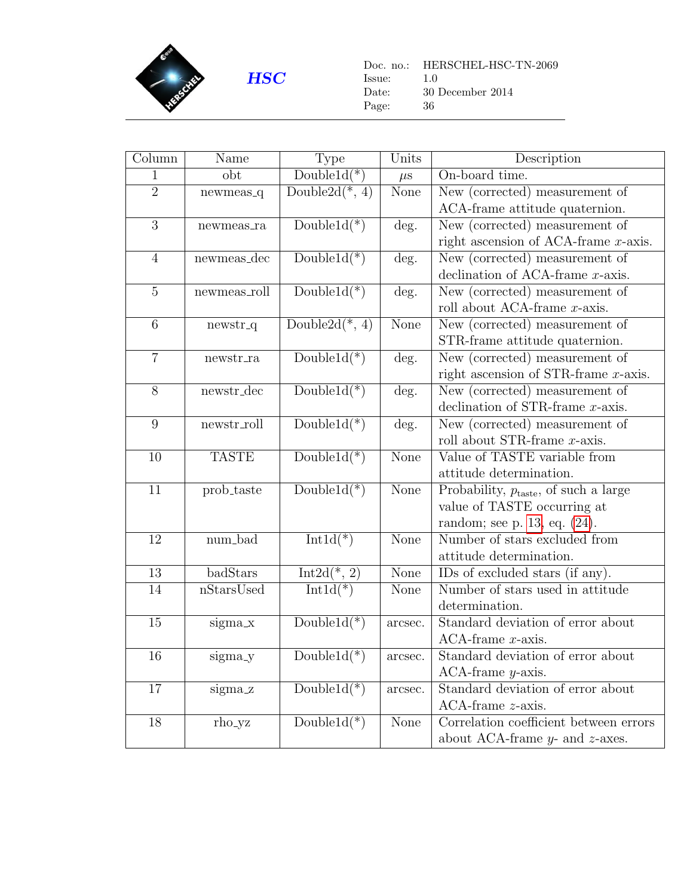

Doc. no.: HERSCHEL-HSC-TN-2069 Issue: 1.0 Date: 30 December 2014 Page: 36

<span id="page-35-0"></span>

| Column           | Name               | <b>Type</b>               | Units                     | Description                                       |
|------------------|--------------------|---------------------------|---------------------------|---------------------------------------------------|
| 1                | $_{\rm obt}$       | $Double1d(*)$             | $\mu$ s                   | On-board time.                                    |
| $\overline{2}$   | $newmeas_q$        | Double2 $d(*, 4)$         | None                      | New (corrected) measurement of                    |
|                  |                    |                           |                           | ACA-frame attitude quaternion.                    |
| $\overline{3}$   | newmeas_ra         | Double $1d(*)$            | deg.                      | New (corrected) measurement of                    |
|                  |                    |                           |                           | right ascension of ACA-frame $x$ -axis.           |
| $\overline{4}$   | newmeas_dec        | $Double1d(*)$             | deg.                      | New $\overline{(corrected)}$ measurement of       |
|                  |                    |                           |                           | declination of ACA-frame $x$ -axis.               |
| $\overline{5}$   | newmeas_roll       | $Double1d(*)$             | deg.                      | New (corrected) measurement of                    |
|                  |                    |                           |                           | roll about ACA-frame $x$ -axis.                   |
| $\overline{6}$   | newstr_q           | Double2 $d(*, 4)$         | None                      | New (corrected) measurement of                    |
|                  |                    |                           |                           | STR-frame attitude quaternion.                    |
| $\overline{7}$   | ${\tt newstr\_ra}$ | $Double1d(*)$             | deg.                      | New (corrected) measurement of                    |
|                  |                    |                           |                           | right ascension of STR-frame $x$ -axis.           |
| $\overline{8}$   | newstr_dec         | $Double1d(*)$             | $\overline{\text{deg}}$ . | New (corrected) measurement of                    |
|                  |                    |                           |                           | declination of STR-frame $x$ -axis.               |
| $\boldsymbol{9}$ | newstr_roll        | Double $1d(*)$            | deg.                      | New (corrected) measurement of                    |
|                  |                    |                           |                           | roll about STR-frame x-axis.                      |
| 10               | <b>TASTE</b>       | Double $1d(*)$            | None                      | Value of TASTE variable from                      |
|                  |                    |                           |                           | attitude determination.                           |
| 11               | prob_taste         | $Double1d(*)$             | None                      | Probability, $p_{\text{taste}}$ , of such a large |
|                  |                    |                           |                           | value of TASTE occurring at                       |
|                  |                    |                           |                           | random; see p. 13, eq. $(24)$ .                   |
| 12               | num_bad            | $Int1d(*)$                | None                      | Number of stars excluded from                     |
|                  |                    |                           |                           | attitude determination.                           |
| 13               | badStars           | Int2d(*, $\overline{2}$ ) | None                      | IDs of excluded stars (if any).                   |
| 14               | nStarsUsed         | $Int1d(*)$                | None                      | Number of stars used in attitude                  |
|                  |                    |                           |                           | determination.                                    |
| 15               | sigma_x            | $Double1d(*)$             | arcsec.                   | Standard deviation of error about                 |
|                  |                    |                           |                           | $ACA$ -frame $x$ -axis.                           |
| 16               | sigma_y            | Double $1d(*)$            | arcsec.                   | Standard deviation of error about                 |
|                  |                    |                           |                           | $ACA-frame y-axis.$                               |
| 17               | sigma_z            | Double $1d(*)$            | arcsec.                   | Standard deviation of error about                 |
|                  |                    |                           |                           | $ACA$ -frame $z$ -axis.                           |
| 18               | rho_yz             | $Double1d(*)$             | None                      | Correlation coefficient between errors            |
|                  |                    |                           |                           | about ACA-frame $y$ - and $z$ -axes.              |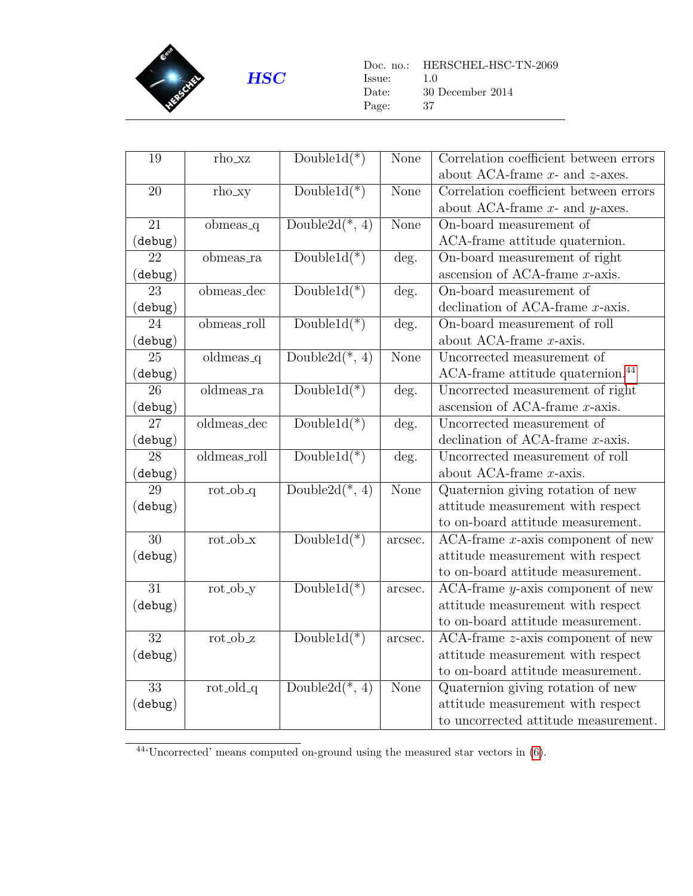

Doc. no.: HERSCHEL-HSC-TN-2069 Issue: 1.0 Date: 30 December 2014 Page: 37

| 19                 | rho_xz               | $Double1d(*)$     | None                     | Correlation coefficient between errors<br>about ACA-frame $x$ - and $z$ -axes. |
|--------------------|----------------------|-------------------|--------------------------|--------------------------------------------------------------------------------|
| 20                 | rho_xy               | $Double1d(*)$     | None                     | Correlation coefficient between errors                                         |
|                    |                      |                   |                          |                                                                                |
|                    |                      |                   |                          | about ACA-frame $x$ - and $y$ -axes.                                           |
| 21                 | obmeas <sub>-q</sub> | Double2d $(*, 4)$ | None                     | On-board measurement of                                                        |
| $(\mathtt{debug})$ |                      |                   |                          | ACA-frame attitude quaternion.                                                 |
| 22                 | obmeas_ra            | $Double1d(*)$     | deg.                     | On-board measurement of right                                                  |
| $(\mathtt{debug})$ |                      |                   |                          | ascension of ACA-frame $x$ -axis.                                              |
| $\overline{23}$    | obmeas_dec           | $Double1d(*)$     | deg.                     | On-board measurement of                                                        |
| $(\mathtt{debug})$ |                      |                   |                          | declination of ACA-frame $x$ -axis.                                            |
| 24                 | $obmeas_rroll$       | $Double1d(*)$     | deg.                     | On-board measurement of roll                                                   |
| $(\mathtt{debug})$ |                      |                   |                          | about ACA-frame $x$ -axis.                                                     |
| 25                 | $oldmeas_q$          | Double2 $d(*, 4)$ | <b>None</b>              | Uncorrected measurement of                                                     |
| $(\mathtt{debug})$ |                      |                   |                          | ACA-frame attitude quaternion. <sup>44</sup>                                   |
| 26                 | oldmeas_ra           | $Double1d(*)$     | $\overline{\text{deg.}}$ | Uncorrected measurement of right                                               |
| (debug)            |                      |                   |                          | ascension of ACA-frame $x$ -axis.                                              |
| $\overline{27}$    | $oldmeas\_dec$       | $Double1d(*)$     | deg.                     | Uncorrected measurement of                                                     |
| (debug)            |                      |                   |                          | declination of ACA-frame $x$ -axis.                                            |
| $\overline{28}$    | oldmeas_roll         | $Double1d(*)$     | deg.                     | Uncorrected measurement of roll                                                |
| (debug)            |                      |                   |                          | about ACA-frame $x$ -axis.                                                     |
| 29                 | $rot\_ob_q$          | Double2d $(*, 4)$ | None                     | Quaternion giving rotation of new                                              |
| (debug)            |                      |                   |                          | attitude measurement with respect                                              |
|                    |                      |                   |                          | to on-board attitude measurement.                                              |
| $\overline{30}$    | $rot\_ob_x$          | $Double1d(*)$     | arcsec.                  | $ACA$ -frame $x$ -axis component of new                                        |
| (debug)            |                      |                   |                          | attitude measurement with respect                                              |
|                    |                      |                   |                          | to on-board attitude measurement.                                              |
| $\overline{31}$    | $rot\_ob_y$          | Double $1d(*)$    | arcsec.                  | $ACA$ -frame $y$ -axis component of new                                        |
| (debug)            |                      |                   |                          | attitude measurement with respect                                              |
|                    |                      |                   |                          | to on-board attitude measurement.                                              |
| $\overline{32}$    | $rot_ob_z$           | $Double1d(*)$     | arcsec.                  | $ACA-frame$ z-axis component of new                                            |
| (debug)            |                      |                   |                          | attitude measurement with respect                                              |
|                    |                      |                   |                          | to on-board attitude measurement.                                              |
| $\overline{33}$    | $rot\_old_q$         | Double2d $(*, 4)$ | <b>None</b>              | Quaternion giving rotation of new                                              |
|                    |                      |                   |                          |                                                                                |
| (debug)            |                      |                   |                          | attitude measurement with respect                                              |
|                    |                      |                   |                          | to uncorrected attitude measurement.                                           |

<span id="page-36-0"></span> $\overline{^{444}}$  Uncorrected' means computed on-ground using the measured star vectors in [\(6\)](#page-5-7).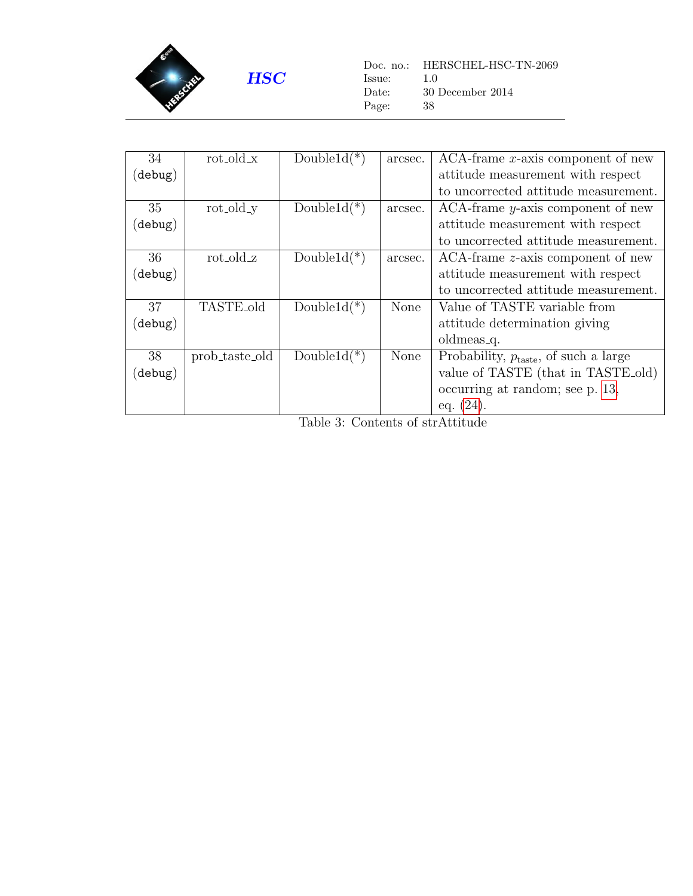

Doc. no.: HERSCHEL-HSC-TN-2069 Issue: 1.0 Date: 30 December 2014 Page: 38

| 34                 | $rot\_old\_x$  | Double1 $d(*)$ | arcsec.     | $ACA-frame x-axis component of new$               |
|--------------------|----------------|----------------|-------------|---------------------------------------------------|
| (debug)            |                |                |             | attitude measurement with respect                 |
|                    |                |                |             | to uncorrected attitude measurement.              |
| 35                 | rot_old_y      | Double $1d(*)$ | arcsec.     | $ACA$ -frame $y$ -axis component of new           |
| $(\mathtt{delay})$ |                |                |             | attitude measurement with respect                 |
|                    |                |                |             | to uncorrected attitude measurement.              |
| 36                 | $rot\_old_z$   | Double $1d(*)$ | arcsec.     | $ACA-frame$ z-axis component of new               |
| (debug)            |                |                |             | attitude measurement with respect                 |
|                    |                |                |             | to uncorrected attitude measurement.              |
| 37                 | TASTE_old      | Double $1d(*)$ | None        | Value of TASTE variable from                      |
| (debug)            |                |                |             | attitude determination giving                     |
|                    |                |                |             | oldmeas <sub>-q</sub> .                           |
| 38                 | prob_taste_old | Double $1d(*)$ | <b>None</b> | Probability, $p_{\text{taste}}$ , of such a large |
| (debug)            |                |                |             | value of TASTE (that in TASTE old)                |
|                    |                |                |             | occurring at random; see p. 13,                   |
|                    |                |                |             | eq. $(24)$ .                                      |

Table 3: Contents of strAttitude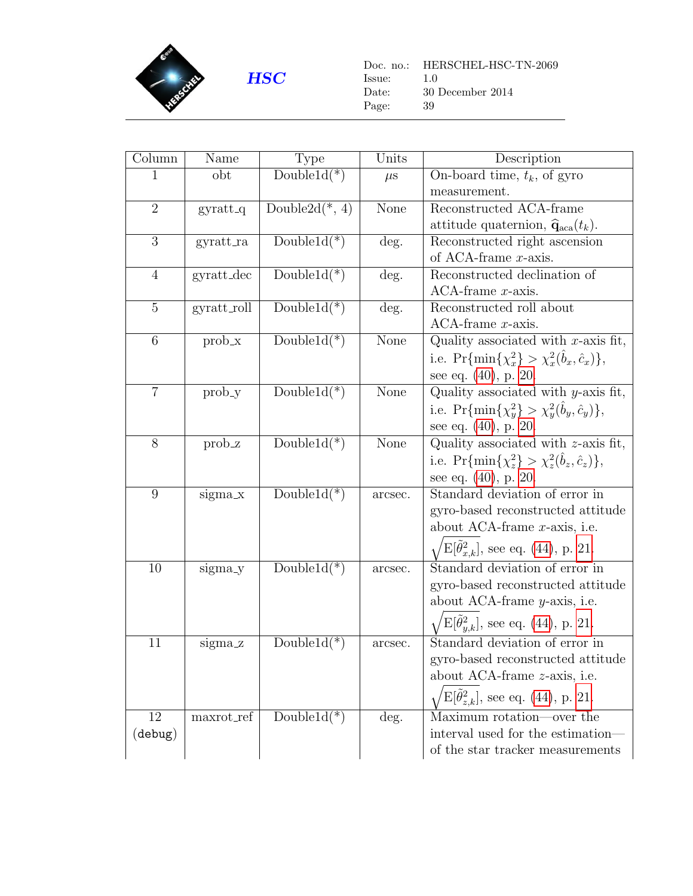

 $\begin{tabular}{ll} Doc. no.: & HERSCHEL-HSC-TN-2069 \\ Issue: & 1.0 \end{tabular}$  $\;$  Issue: Date: 30 December 2014 Page: 39

<span id="page-38-0"></span>

| Column             | Name          | <b>Type</b>       | Units   | Description                                                 |
|--------------------|---------------|-------------------|---------|-------------------------------------------------------------|
| 1                  | obt           | $Double1d(*)$     | $\mu$ s | On-board time, $t_k$ , of gyro                              |
|                    |               |                   |         | measurement.                                                |
| $\overline{2}$     | $gyratt_q$    | Double2 $d(*, 4)$ | None    | Reconstructed ACA-frame                                     |
|                    |               |                   |         | attitude quaternion, $\hat{\mathbf{q}}_{\text{aca}}(t_k)$ . |
| 3                  | gyratt_ra     | Double $1d(*)$    | deg.    | Reconstructed right ascension                               |
|                    |               |                   |         | of ACA-frame $x$ -axis.                                     |
| $\overline{4}$     | $gyratt\_dec$ | $Double1d(*)$     | deg.    | Reconstructed declination of                                |
|                    |               |                   |         | $ACA$ -frame $x$ -axis.                                     |
| $\overline{5}$     | gyratt_roll   | Double $1d(*)$    | deg.    | Reconstructed roll about                                    |
|                    |               |                   |         | $ACA$ -frame $x$ -axis.                                     |
| 6                  | $prob_x$      | Double $1d(*)$    | None    | Quality associated with $x$ -axis fit,                      |
|                    |               |                   |         | i.e. $\Pr{\min\{\chi_x^2\}} > \chi_x^2(b_x, \hat{c}_x)$ ,   |
|                    |               |                   |         | see eq. $(40)$ , p. 20.                                     |
| $\overline{7}$     | prob_y        | $Double1d(*)$     | None    | Quality associated with $y$ -axis fit,                      |
|                    |               |                   |         | i.e. $\Pr{\min\{\chi_y^2\} > \chi_y^2(b_y, \hat{c}_y)\},$   |
|                    |               |                   |         | see eq. (40), p. 20.                                        |
| $8\,$              | prob_z        | Double $1d(*)$    | None    | Quality associated with $z$ -axis fit,                      |
|                    |               |                   |         | i.e. $\Pr{\min\{\chi_z^2\}} > \chi_z^2(b_z, \hat{c}_z)\},$  |
|                    |               |                   |         | see eq. $(40)$ , p. 20.                                     |
| 9                  | sigma_x       | Double $1d(*)$    | arcsec. | Standard deviation of error in                              |
|                    |               |                   |         | gyro-based reconstructed attitude                           |
|                    |               |                   |         | about ACA-frame $x$ -axis, i.e.                             |
|                    |               |                   |         | $\sqrt{E[\tilde{\theta}_{x,k}^2]}$ , see eq. (44), p. 21.   |
| 10                 |               | Double $1d(*)$    |         | Standard deviation of error in                              |
|                    | sigma_y       |                   | arcsec. | gyro-based reconstructed attitude                           |
|                    |               |                   |         | about ACA-frame $y$ -axis, i.e.                             |
|                    |               |                   |         |                                                             |
|                    |               |                   |         | $E[\hat{\theta}_{y,k}^2]$ , see eq. (44), p. 21.            |
| 11                 | sigma_z       | Double $1d(*)$    | arcsec. | Standard deviation of error in                              |
|                    |               |                   |         | gyro-based reconstructed attitude                           |
|                    |               |                   |         | about ACA-frame <i>z</i> -axis, <i>i.e.</i>                 |
|                    |               |                   |         | $E[\tilde{\theta}_{z,k}^2]$ , see eq. (44), p. 21.          |
| 12                 | maxrot_ref    | Double $1d(*)$    | deg.    | Maximum rotation—over the                                   |
| $(\mathtt{debug})$ |               |                   |         | interval used for the estimation—                           |
|                    |               |                   |         | of the star tracker measurements                            |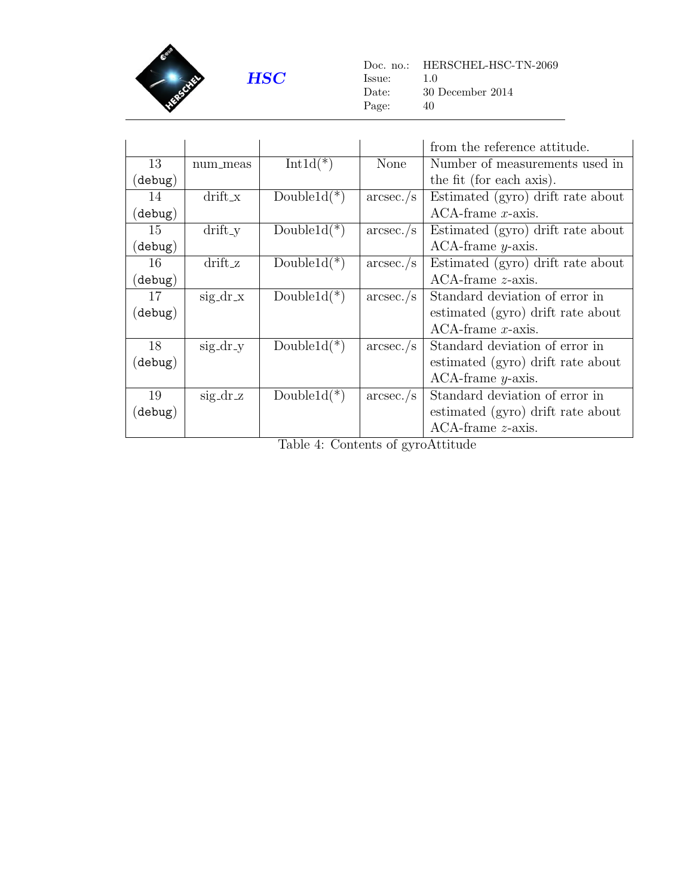

Doc. no.: HERSCHEL-HSC-TN-2069  $\begin{tabular}{ll} Issue: & \color{red}{1.0} \\ Date: & \color{red}{30} \end{tabular}$  $30$  December  $2014$ Page: 40

|                    |            |                |              | from the reference attitude.      |
|--------------------|------------|----------------|--------------|-----------------------------------|
| 13                 | num_meas   | $Int1d(*)$     | <b>None</b>  | Number of measurements used in    |
| $(\texttt{debug})$ |            |                |              | the fit (for each axis).          |
| 14                 | $drift_x$  | Double $1d(*)$ | $\arcsec./s$ | Estimated (gyro) drift rate about |
| $(\mathtt{delay})$ |            |                |              | $ACA$ -frame x-axis.              |
| 15                 | $drift_y$  | Double $1d(*)$ | $\arcsec./s$ | Estimated (gyro) drift rate about |
| $(\texttt{debug})$ |            |                |              | $ACA-frame y-axis.$               |
| 16                 | $drift_z$  | Double $1d(*)$ | $\arcsec./s$ | Estimated (gyro) drift rate about |
| $(\mathtt{debug})$ |            |                |              | $ACA$ -frame $z$ -axis.           |
| 17                 | $sig-dr.x$ | Double $1d(*)$ | $\arcsec./s$ | Standard deviation of error in    |
| $(\mathtt{delay})$ |            |                |              | estimated (gyro) drift rate about |
|                    |            |                |              | $ACA$ -frame $x$ -axis.           |
| 18                 | $sig/dr_y$ | Double $1d(*)$ | $\arcsec./s$ | Standard deviation of error in    |
| $(\mathtt{delay})$ |            |                |              | estimated (gyro) drift rate about |
|                    |            |                |              | $ACA-frame y-axis.$               |
| 19                 | $sig/dr_z$ | Double $1d(*)$ | $\arcsec./s$ | Standard deviation of error in    |
| $(\mathtt{debug})$ |            |                |              | estimated (gyro) drift rate about |
|                    |            |                |              | $ACA$ -frame $z$ -axis.           |

Table 4: Contents of gyroAttitude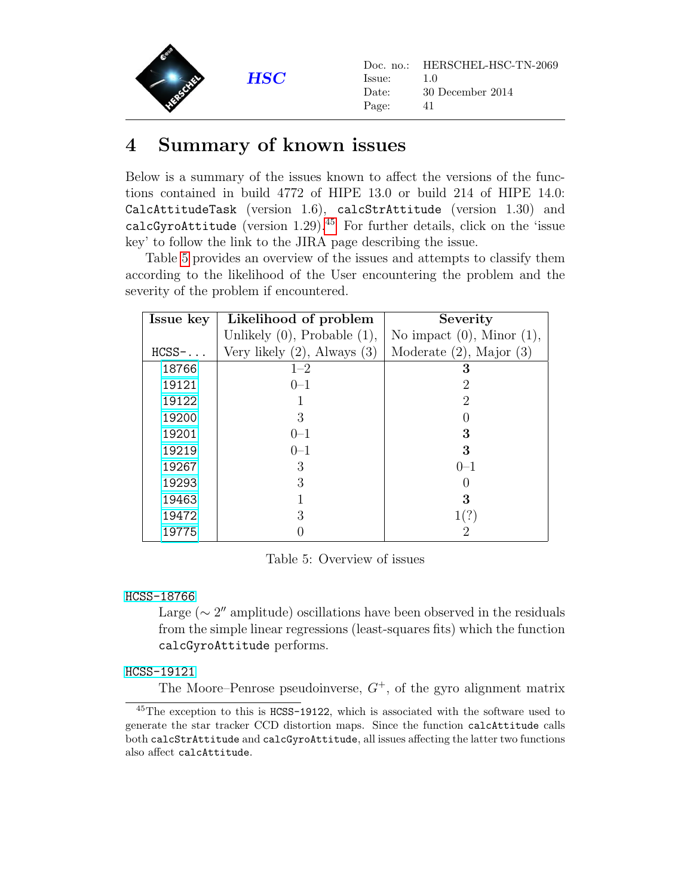

### <span id="page-40-0"></span>4 Summary of known issues

Below is a summary of the issues known to affect the versions of the functions contained in build 4772 of HIPE 13.0 or build 214 of HIPE 14.0: CalcAttitudeTask (version 1.6), calcStrAttitude (version 1.30) and calcGyroAttitude (version  $1.29$ ).<sup>[45](#page-40-2)</sup> For further details, click on the 'issue key' to follow the link to the JIRA page describing the issue.

Table [5](#page-40-1) provides an overview of the issues and attempts to classify them according to the likelihood of the User encountering the problem and the severity of the problem if encountered.

| Issue key | Likelihood of problem             | Severity                        |
|-----------|-----------------------------------|---------------------------------|
|           | Unlikely $(0)$ , Probable $(1)$ , | No impact $(0)$ , Minor $(1)$ , |
| $HCSS$ -  | Very likely $(2)$ , Always $(3)$  | Moderate $(2)$ , Major $(3)$    |
| 18766     | $1 - 2$                           | 3                               |
| 19121     | $0 - 1$                           | 2                               |
| 19122     |                                   | $\overline{2}$                  |
| 19200     | 3                                 |                                 |
| 19201     | $()$ -1                           | 3                               |
| 19219     | $0 - 1$                           | 3                               |
| 19267     | 3                                 | $()$ -1                         |
| 19293     | 3                                 |                                 |
| 19463     |                                   | 3                               |
| 19472     | 3                                 | 1(?)                            |
| 19775     |                                   |                                 |

<span id="page-40-1"></span>Table 5: Overview of issues

#### [HCSS-18766](http://herschel.esac.esa.int/jira/browse/HCSS-18766)

Large ( $\sim 2''$  amplitude) oscillations have been observed in the residuals from the simple linear regressions (least-squares fits) which the function calcGyroAttitude performs.

#### [HCSS-19121](http://herschel.esac.esa.int/jira/browse/HCSS-19121)

The Moore–Penrose pseudoinverse,  $G^+$ , of the gyro alignment matrix

<span id="page-40-2"></span><sup>45</sup>The exception to this is HCSS-19122, which is associated with the software used to generate the star tracker CCD distortion maps. Since the function calcAttitude calls both calcStrAttitude and calcGyroAttitude, all issues affecting the latter two functions also affect calcAttitude.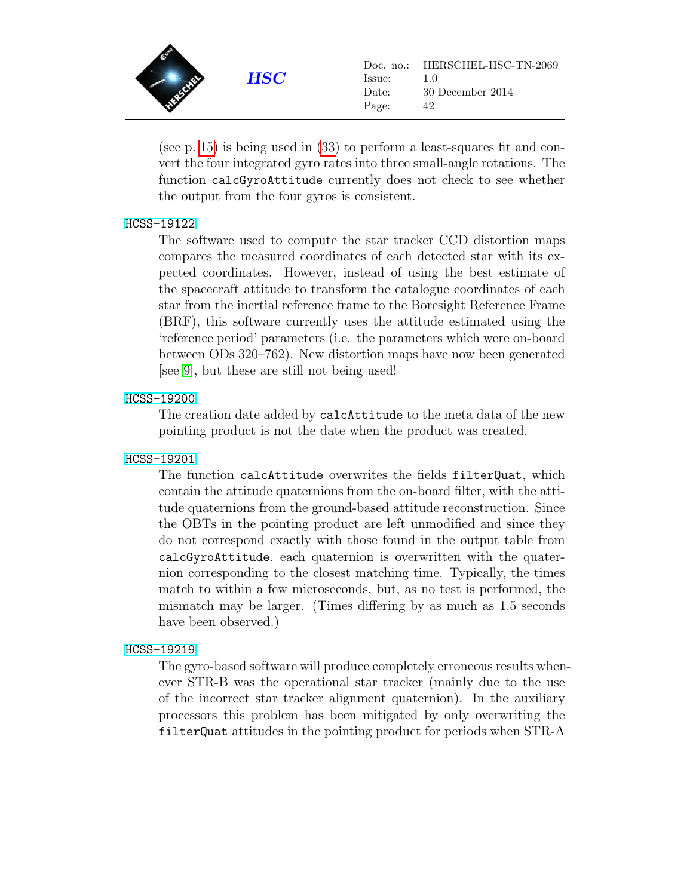

(see p. [15\)](#page-14-2) is being used in [\(33\)](#page-15-4) to perform a least-squares fit and convert the four integrated gyro rates into three small-angle rotations. The function calcGyroAttitude currently does not check to see whether the output from the four gyros is consistent.

#### [HCSS-19122](http://herschel.esac.esa.int/jira/browse/HCSS-19122)

The software used to compute the star tracker CCD distortion maps compares the measured coordinates of each detected star with its expected coordinates. However, instead of using the best estimate of the spacecraft attitude to transform the catalogue coordinates of each star from the inertial reference frame to the Boresight Reference Frame (BRF), this software currently uses the attitude estimated using the 'reference period' parameters (i.e. the parameters which were on-board between ODs 320–762). New distortion maps have now been generated [see [9\]](#page-46-10), but these are still not being used!

#### [HCSS-19200](http://herschel.esac.esa.int/jira/browse/HCSS-19200)

The creation date added by calcAttitude to the meta data of the new pointing product is not the date when the product was created.

#### [HCSS-19201](http://herschel.esac.esa.int/jira/browse/HCSS-19201)

The function calcAttitude overwrites the fields filterQuat, which contain the attitude quaternions from the on-board filter, with the attitude quaternions from the ground-based attitude reconstruction. Since the OBTs in the pointing product are left unmodified and since they do not correspond exactly with those found in the output table from calcGyroAttitude, each quaternion is overwritten with the quaternion corresponding to the closest matching time. Typically, the times match to within a few microseconds, but, as no test is performed, the mismatch may be larger. (Times differing by as much as 1.5 seconds have been observed.)

#### [HCSS-19219](http://herschel.esac.esa.int/jira/browse/HCSS-19219)

The gyro-based software will produce completely erroneous results whenever STR-B was the operational star tracker (mainly due to the use of the incorrect star tracker alignment quaternion). In the auxiliary processors this problem has been mitigated by only overwriting the filterQuat attitudes in the pointing product for periods when STR-A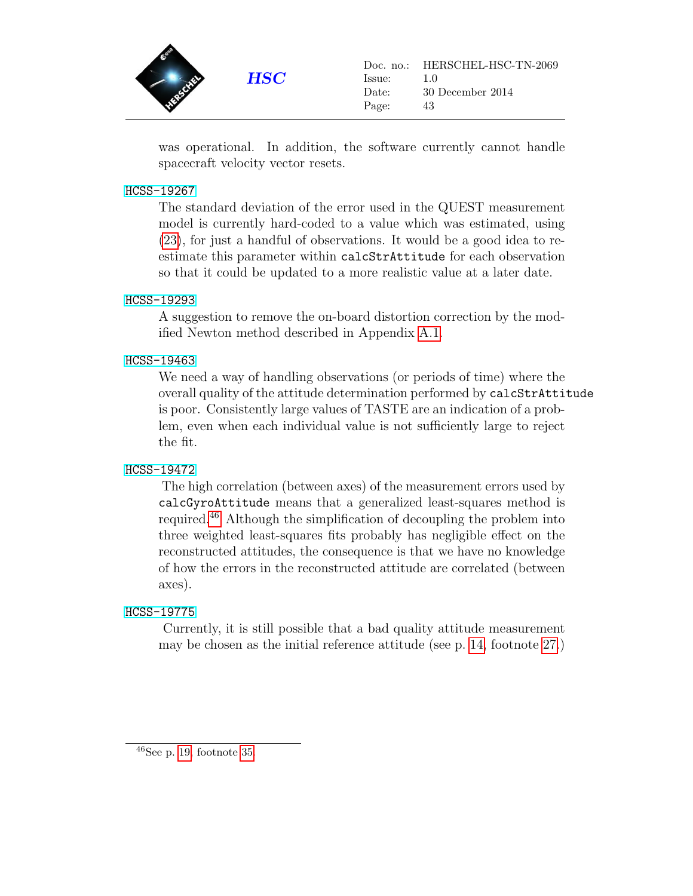

was operational. In addition, the software currently cannot handle spacecraft velocity vector resets.

#### [HCSS-19267](http://herschel.esac.esa.int/jira/browse/HCSS-19267)

The standard deviation of the error used in the QUEST measurement model is currently hard-coded to a value which was estimated, using [\(23\)](#page-12-5), for just a handful of observations. It would be a good idea to reestimate this parameter within calcStrAttitude for each observation so that it could be updated to a more realistic value at a later date.

#### [HCSS-19293](http://herschel.esac.esa.int/jira/browse/HCSS-19293)

A suggestion to remove the on-board distortion correction by the modified Newton method described in Appendix [A.1.](#page-43-1)

#### [HCSS-19463](http://herschel.esac.esa.int/jira/browse/HCSS-19463)

We need a way of handling observations (or periods of time) where the overall quality of the attitude determination performed by calcStrAttitude is poor. Consistently large values of TASTE are an indication of a problem, even when each individual value is not sufficiently large to reject the fit.

#### [HCSS-19472](http://herschel.esac.esa.int/jira/browse/HCSS-19472)

The high correlation (between axes) of the measurement errors used by calcGyroAttitude means that a generalized least-squares method is required.[46](#page-42-0) Although the simplification of decoupling the problem into three weighted least-squares fits probably has negligible effect on the reconstructed attitudes, the consequence is that we have no knowledge of how the errors in the reconstructed attitude are correlated (between axes).

#### [HCSS-19775](http://herschel.esac.esa.int/jira/browse/HCSS-19775)

<span id="page-42-0"></span>Currently, it is still possible that a bad quality attitude measurement may be chosen as the initial reference attitude (see p. [14,](#page-13-2) footnote [27.](#page-13-2))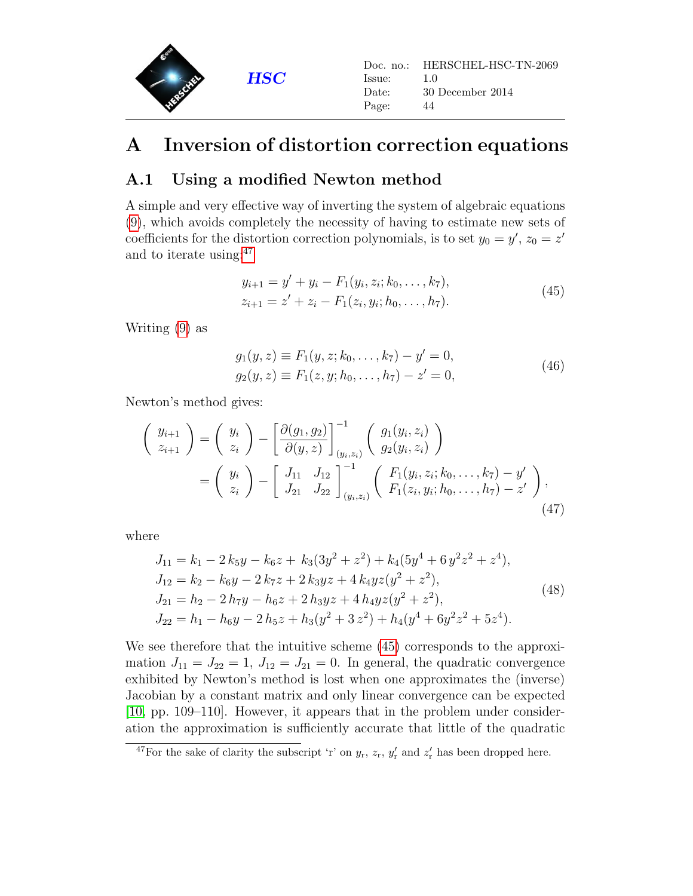

### <span id="page-43-0"></span>A Inversion of distortion correction equations

### <span id="page-43-1"></span>A.1 Using a modified Newton method

A simple and very effective way of inverting the system of algebraic equations [\(9\)](#page-6-2), which avoids completely the necessity of having to estimate new sets of coefficients for the distortion correction polynomials, is to set  $y_0 = y'$ ,  $z_0 = z'$ and to iterate using:[47](#page-43-2)

$$
y_{i+1} = y' + y_i - F_1(y_i, z_i; k_0, \dots, k_7),
$$
  
\n
$$
z_{i+1} = z' + z_i - F_1(z_i, y_i; h_0, \dots, h_7).
$$
\n(45)

<span id="page-43-3"></span>Writing [\(9\)](#page-6-2) as

$$
g_1(y, z) \equiv F_1(y, z; k_0, \dots, k_7) - y' = 0, g_2(y, z) \equiv F_1(z, y; h_0, \dots, h_7) - z' = 0,
$$
 (46)

Newton's method gives:

$$
\begin{pmatrix}\ny_{i+1} \\
z_{i+1}\n\end{pmatrix} = \begin{pmatrix}\ny_i \\
z_i\n\end{pmatrix} - \left[\frac{\partial(g_1, g_2)}{\partial(y, z)}\right]_{(y_i, z_i)}^{-1} \begin{pmatrix}\ng_1(y_i, z_i) \\
g_2(y_i, z_i)\n\end{pmatrix}
$$
\n
$$
= \begin{pmatrix}\ny_i \\
z_i\n\end{pmatrix} - \begin{bmatrix}\nJ_{11} & J_{12} \\
J_{21} & J_{22}\n\end{bmatrix}_{(y_i, z_i)}^{-1} \begin{pmatrix}\nF_1(y_i, z_i; k_0, \dots, k_7) - y' \\
F_1(z_i, y_i; h_0, \dots, h_7) - z'\n\end{pmatrix},
$$
\n(47)

where

<span id="page-43-4"></span>
$$
J_{11} = k_1 - 2 k_5 y - k_6 z + k_3 (3y^2 + z^2) + k_4 (5y^4 + 6y^2 z^2 + z^4),
$$
  
\n
$$
J_{12} = k_2 - k_6 y - 2 k_7 z + 2 k_3 y z + 4 k_4 y z (y^2 + z^2),
$$
  
\n
$$
J_{21} = h_2 - 2 h_7 y - h_6 z + 2 h_3 y z + 4 h_4 y z (y^2 + z^2),
$$
  
\n
$$
J_{22} = h_1 - h_6 y - 2 h_5 z + h_3 (y^2 + 3 z^2) + h_4 (y^4 + 6y^2 z^2 + 5z^4).
$$
\n(48)

We see therefore that the intuitive scheme [\(45\)](#page-43-3) corresponds to the approximation  $J_{11} = J_{22} = 1$ ,  $J_{12} = J_{21} = 0$ . In general, the quadratic convergence exhibited by Newton's method is lost when one approximates the (inverse) Jacobian by a constant matrix and only linear convergence can be expected [\[10,](#page-46-11) pp. 109–110]. However, it appears that in the problem under consideration the approximation is sufficiently accurate that little of the quadratic

<span id="page-43-2"></span><sup>&</sup>lt;sup>47</sup>For the sake of clarity the subscript 'r' on  $y_r$ ,  $z_r$ ,  $y'_r$  and  $z'_r$  has been dropped here.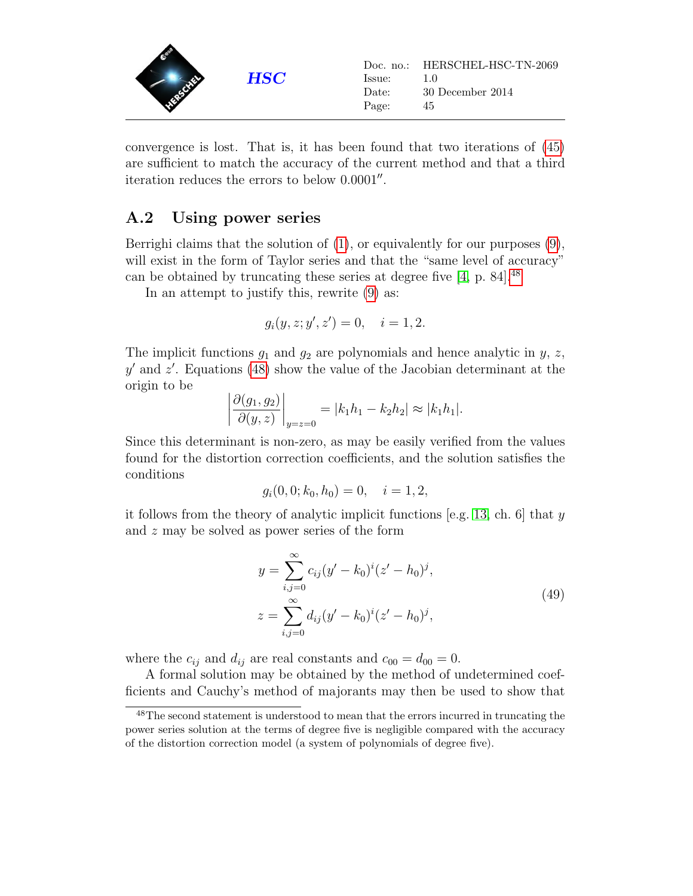

convergence is lost. That is, it has been found that two iterations of [\(45\)](#page-43-3) are sufficient to match the accuracy of the current method and that a third iteration reduces the errors to below  $0.0001''$ .

#### <span id="page-44-0"></span>A.2 Using power series

Berrighi claims that the solution of [\(1\)](#page-4-5), or equivalently for our purposes [\(9\)](#page-6-2), will exist in the form of Taylor series and that the "same level of accuracy" can be obtained by truncating these series at degree five  $[4, p. 84]$  $[4, p. 84]$ .<sup>[48](#page-44-1)</sup>

In an attempt to justify this, rewrite [\(9\)](#page-6-2) as:

$$
g_i(y, z; y', z') = 0, \quad i = 1, 2.
$$

The implicit functions  $g_1$  and  $g_2$  are polynomials and hence analytic in  $y, z$ ,  $y'$  and  $z'$ . Equations [\(48\)](#page-43-4) show the value of the Jacobian determinant at the origin to be

$$
\left|\frac{\partial(g_1, g_2)}{\partial(y, z)}\right|_{y=z=0} = |k_1h_1 - k_2h_2| \approx |k_1h_1|.
$$

Since this determinant is non-zero, as may be easily verified from the values found for the distortion correction coefficients, and the solution satisfies the conditions

$$
g_i(0,0; k_0, h_0) = 0, \quad i = 1, 2,
$$

it follows from the theory of analytic implicit functions [e.g. [13,](#page-47-10) ch. 6] that  $y$ and z may be solved as power series of the form

$$
y = \sum_{i,j=0}^{\infty} c_{ij} (y' - k_0)^i (z' - h_0)^j,
$$
  
\n
$$
z = \sum_{i,j=0}^{\infty} d_{ij} (y' - k_0)^i (z' - h_0)^j,
$$
\n(49)

where the  $c_{ij}$  and  $d_{ij}$  are real constants and  $c_{00} = d_{00} = 0$ .

A formal solution may be obtained by the method of undetermined coefficients and Cauchy's method of majorants may then be used to show that

<span id="page-44-1"></span><sup>48</sup>The second statement is understood to mean that the errors incurred in truncating the power series solution at the terms of degree five is negligible compared with the accuracy of the distortion correction model (a system of polynomials of degree five).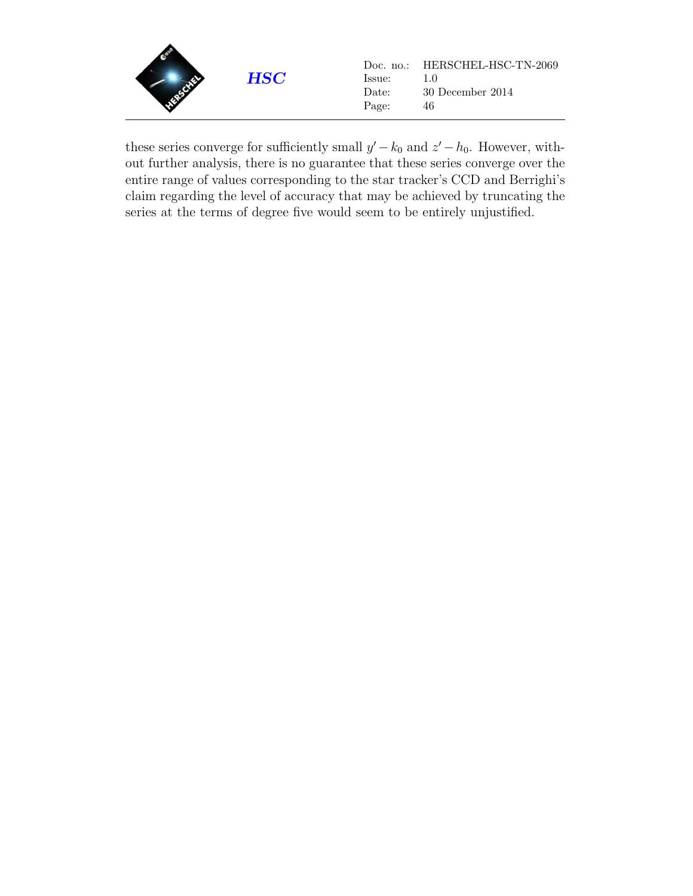

these series converge for sufficiently small  $y' - k_0$  and  $z' - h_0$ . However, without further analysis, there is no guarantee that these series converge over the entire range of values corresponding to the star tracker's CCD and Berrighi's claim regarding the level of accuracy that may be achieved by truncating the series at the terms of degree five would seem to be entirely unjustified.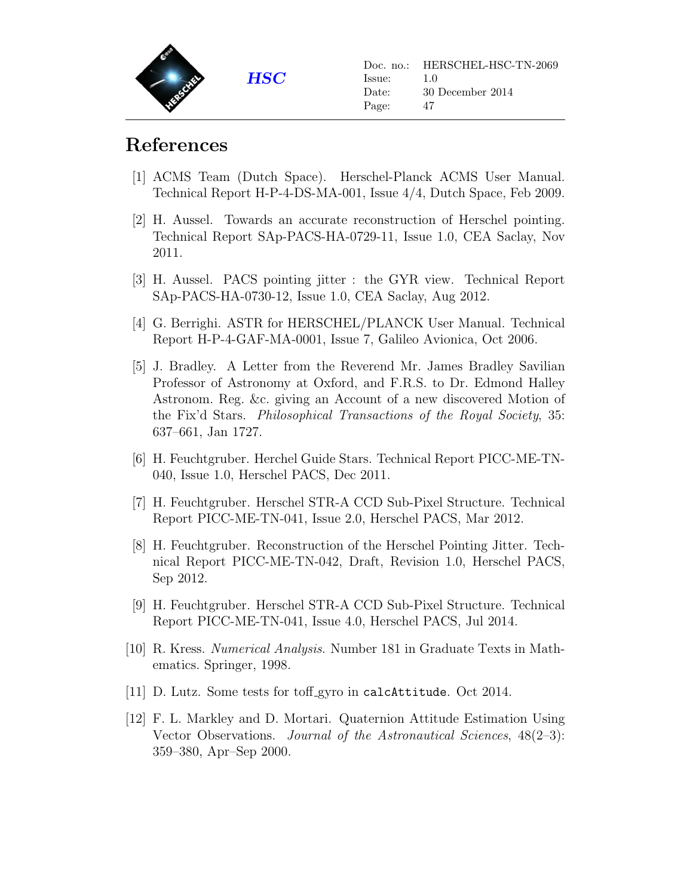

## References

- <span id="page-46-8"></span>[1] ACMS Team (Dutch Space). Herschel-Planck ACMS User Manual. Technical Report H-P-4-DS-MA-001, Issue 4/4, Dutch Space, Feb 2009.
- <span id="page-46-2"></span>[2] H. Aussel. Towards an accurate reconstruction of Herschel pointing. Technical Report SAp-PACS-HA-0729-11, Issue 1.0, CEA Saclay, Nov 2011.
- <span id="page-46-3"></span>[3] H. Aussel. PACS pointing jitter : the GYR view. Technical Report SAp-PACS-HA-0730-12, Issue 1.0, CEA Saclay, Aug 2012.
- <span id="page-46-5"></span>[4] G. Berrighi. ASTR for HERSCHEL/PLANCK User Manual. Technical Report H-P-4-GAF-MA-0001, Issue 7, Galileo Avionica, Oct 2006.
- <span id="page-46-6"></span>[5] J. Bradley. A Letter from the Reverend Mr. James Bradley Savilian Professor of Astronomy at Oxford, and F.R.S. to Dr. Edmond Halley Astronom. Reg. &c. giving an Account of a new discovered Motion of the Fix'd Stars. Philosophical Transactions of the Royal Society, 35: 637–661, Jan 1727.
- <span id="page-46-0"></span>[6] H. Feuchtgruber. Herchel Guide Stars. Technical Report PICC-ME-TN-040, Issue 1.0, Herschel PACS, Dec 2011.
- <span id="page-46-1"></span>[7] H. Feuchtgruber. Herschel STR-A CCD Sub-Pixel Structure. Technical Report PICC-ME-TN-041, Issue 2.0, Herschel PACS, Mar 2012.
- <span id="page-46-4"></span>[8] H. Feuchtgruber. Reconstruction of the Herschel Pointing Jitter. Technical Report PICC-ME-TN-042, Draft, Revision 1.0, Herschel PACS, Sep 2012.
- <span id="page-46-10"></span>[9] H. Feuchtgruber. Herschel STR-A CCD Sub-Pixel Structure. Technical Report PICC-ME-TN-041, Issue 4.0, Herschel PACS, Jul 2014.
- <span id="page-46-11"></span>[10] R. Kress. Numerical Analysis. Number 181 in Graduate Texts in Mathematics. Springer, 1998.
- <span id="page-46-9"></span>[11] D. Lutz. Some tests for toff gyro in calcAttitude. Oct 2014.
- <span id="page-46-7"></span>[12] F. L. Markley and D. Mortari. Quaternion Attitude Estimation Using Vector Observations. Journal of the Astronautical Sciences, 48(2–3): 359–380, Apr–Sep 2000.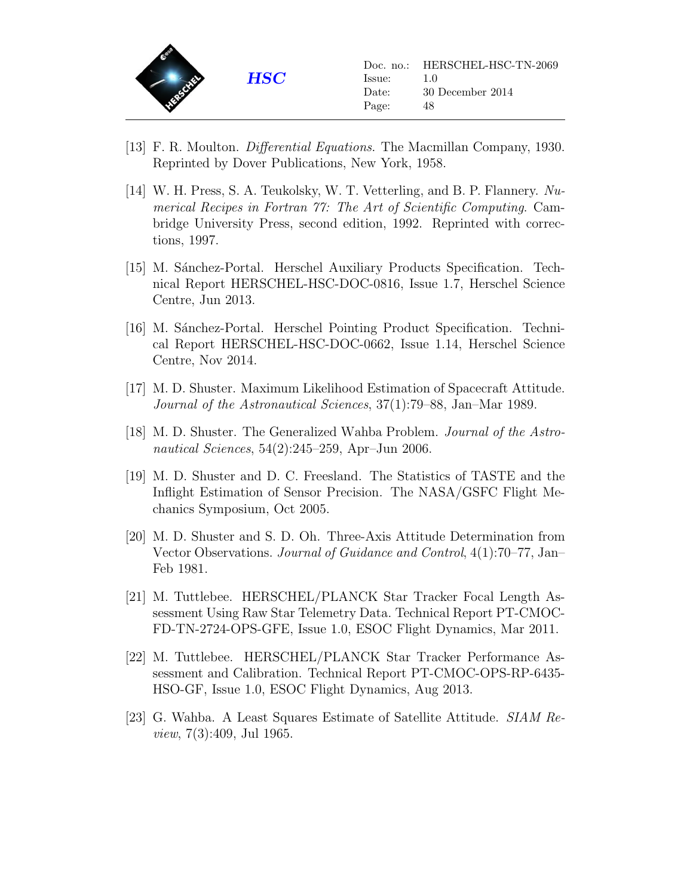

- <span id="page-47-10"></span>[13] F. R. Moulton. Differential Equations. The Macmillan Company, 1930. Reprinted by Dover Publications, New York, 1958.
- <span id="page-47-8"></span>[14] W. H. Press, S. A. Teukolsky, W. T. Vetterling, and B. P. Flannery. Numerical Recipes in Fortran 77: The Art of Scientific Computing. Cambridge University Press, second edition, 1992. Reprinted with corrections, 1997.
- <span id="page-47-2"></span>[15] M. Sánchez-Portal. Herschel Auxiliary Products Specification. Technical Report HERSCHEL-HSC-DOC-0816, Issue 1.7, Herschel Science Centre, Jun 2013.
- <span id="page-47-9"></span>[16] M. Sánchez-Portal. Herschel Pointing Product Specification. Technical Report HERSCHEL-HSC-DOC-0662, Issue 1.14, Herschel Science Centre, Nov 2014.
- <span id="page-47-4"></span>[17] M. D. Shuster. Maximum Likelihood Estimation of Spacecraft Attitude. Journal of the Astronautical Sciences, 37(1):79–88, Jan–Mar 1989.
- <span id="page-47-7"></span>[18] M. D. Shuster. The Generalized Wahba Problem. Journal of the Astronautical Sciences, 54(2):245–259, Apr–Jun 2006.
- <span id="page-47-6"></span>[19] M. D. Shuster and D. C. Freesland. The Statistics of TASTE and the Inflight Estimation of Sensor Precision. The NASA/GSFC Flight Mechanics Symposium, Oct 2005.
- <span id="page-47-3"></span>[20] M. D. Shuster and S. D. Oh. Three-Axis Attitude Determination from Vector Observations. Journal of Guidance and Control, 4(1):70–77, Jan– Feb 1981.
- <span id="page-47-0"></span>[21] M. Tuttlebee. HERSCHEL/PLANCK Star Tracker Focal Length Assessment Using Raw Star Telemetry Data. Technical Report PT-CMOC-FD-TN-2724-OPS-GFE, Issue 1.0, ESOC Flight Dynamics, Mar 2011.
- <span id="page-47-1"></span>[22] M. Tuttlebee. HERSCHEL/PLANCK Star Tracker Performance Assessment and Calibration. Technical Report PT-CMOC-OPS-RP-6435- HSO-GF, Issue 1.0, ESOC Flight Dynamics, Aug 2013.
- <span id="page-47-5"></span>[23] G. Wahba. A Least Squares Estimate of Satellite Attitude. SIAM Review, 7(3):409, Jul 1965.